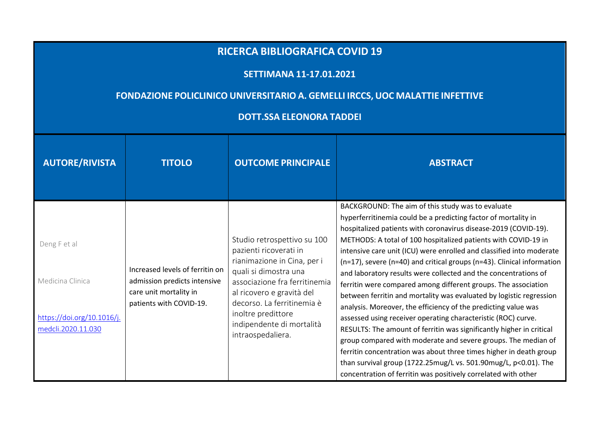## **RICERCA BIBLIOGRAFICA COVID <sup>19</sup>**

## **SETTIMANA 11-17.01.2021**

## **FONDAZIONE POLICLINICO UNIVERSITARIO A. GEMELLI IRCCS, UOC MALATTIE INFETTIVE**

## **DOTT.SSA ELEONORA TADDEI**

| <b>AUTORE/RIVISTA</b>                                                               | <b>TITOLO</b>                                                                                                        | <b>OUTCOME PRINCIPALE</b>                                                                                                                                                                                                                                                         | <b>ABSTRACT</b>                                                                                                                                                                                                                                                                                                                                                                                                                                                                                                                                                                                                                                                                                                                                                                                                                                                                                                                                                                                                                                                                                               |
|-------------------------------------------------------------------------------------|----------------------------------------------------------------------------------------------------------------------|-----------------------------------------------------------------------------------------------------------------------------------------------------------------------------------------------------------------------------------------------------------------------------------|---------------------------------------------------------------------------------------------------------------------------------------------------------------------------------------------------------------------------------------------------------------------------------------------------------------------------------------------------------------------------------------------------------------------------------------------------------------------------------------------------------------------------------------------------------------------------------------------------------------------------------------------------------------------------------------------------------------------------------------------------------------------------------------------------------------------------------------------------------------------------------------------------------------------------------------------------------------------------------------------------------------------------------------------------------------------------------------------------------------|
| Deng Fet al<br>Medicina Clinica<br>https://doi.org/10.1016/j.<br>medcli.2020.11.030 | Increased levels of ferritin on<br>admission predicts intensive<br>care unit mortality in<br>patients with COVID-19. | Studio retrospettivo su 100<br>pazienti ricoverati in<br>rianimazione in Cina, per i<br>quali si dimostra una<br>associazione fra ferritinemia<br>al ricovero e gravità del<br>decorso. La ferritinemia è<br>inoltre predittore<br>indipendente di mortalità<br>intraospedaliera. | BACKGROUND: The aim of this study was to evaluate<br>hyperferritinemia could be a predicting factor of mortality in<br>hospitalized patients with coronavirus disease-2019 (COVID-19).<br>METHODS: A total of 100 hospitalized patients with COVID-19 in<br>intensive care unit (ICU) were enrolled and classified into moderate<br>(n=17), severe (n=40) and critical groups (n=43). Clinical information<br>and laboratory results were collected and the concentrations of<br>ferritin were compared among different groups. The association<br>between ferritin and mortality was evaluated by logistic regression<br>analysis. Moreover, the efficiency of the predicting value was<br>assessed using receiver operating characteristic (ROC) curve.<br>RESULTS: The amount of ferritin was significantly higher in critical<br>group compared with moderate and severe groups. The median of<br>ferritin concentration was about three times higher in death group<br>than survival group (1722.25mug/L vs. 501.90mug/L, p<0.01). The<br>concentration of ferritin was positively correlated with other |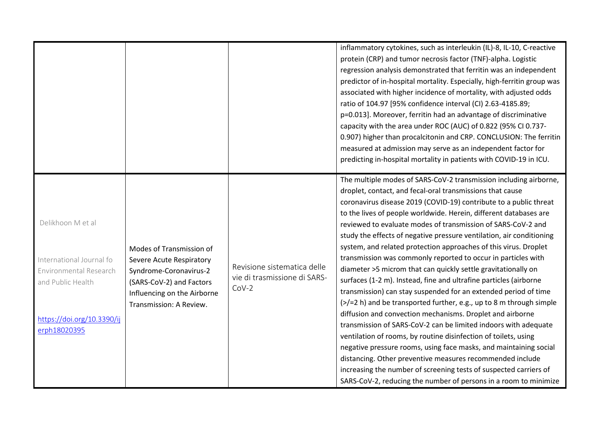|                                                                                                                                            |                                                                                                                                                                      |                                                                        | inflammatory cytokines, such as interleukin (IL)-8, IL-10, C-reactive<br>protein (CRP) and tumor necrosis factor (TNF)-alpha. Logistic<br>regression analysis demonstrated that ferritin was an independent<br>predictor of in-hospital mortality. Especially, high-ferritin group was<br>associated with higher incidence of mortality, with adjusted odds<br>ratio of 104.97 [95% confidence interval (CI) 2.63-4185.89;<br>p=0.013]. Moreover, ferritin had an advantage of discriminative<br>capacity with the area under ROC (AUC) of 0.822 (95% CI 0.737-<br>0.907) higher than procalcitonin and CRP. CONCLUSION: The ferritin<br>measured at admission may serve as an independent factor for<br>predicting in-hospital mortality in patients with COVID-19 in ICU.<br>The multiple modes of SARS-CoV-2 transmission including airborne,                                                                                                                                                                                                                                                                                                                                                                                                                               |
|--------------------------------------------------------------------------------------------------------------------------------------------|----------------------------------------------------------------------------------------------------------------------------------------------------------------------|------------------------------------------------------------------------|--------------------------------------------------------------------------------------------------------------------------------------------------------------------------------------------------------------------------------------------------------------------------------------------------------------------------------------------------------------------------------------------------------------------------------------------------------------------------------------------------------------------------------------------------------------------------------------------------------------------------------------------------------------------------------------------------------------------------------------------------------------------------------------------------------------------------------------------------------------------------------------------------------------------------------------------------------------------------------------------------------------------------------------------------------------------------------------------------------------------------------------------------------------------------------------------------------------------------------------------------------------------------------|
| Delikhoon M et al<br>International Journal fo<br>Environmental Research<br>and Public Health<br>https://doi.org/10.3390/ij<br>erph18020395 | Modes of Transmission of<br>Severe Acute Respiratory<br>Syndrome-Coronavirus-2<br>(SARS-CoV-2) and Factors<br>Influencing on the Airborne<br>Transmission: A Review. | Revisione sistematica delle<br>vie di trasmissione di SARS-<br>$CoV-2$ | droplet, contact, and fecal-oral transmissions that cause<br>coronavirus disease 2019 (COVID-19) contribute to a public threat<br>to the lives of people worldwide. Herein, different databases are<br>reviewed to evaluate modes of transmission of SARS-CoV-2 and<br>study the effects of negative pressure ventilation, air conditioning<br>system, and related protection approaches of this virus. Droplet<br>transmission was commonly reported to occur in particles with<br>diameter >5 microm that can quickly settle gravitationally on<br>surfaces (1-2 m). Instead, fine and ultrafine particles (airborne<br>transmission) can stay suspended for an extended period of time<br>$\left\langle \frac{p}{2} \right\rangle$ and be transported further, e.g., up to 8 m through simple<br>diffusion and convection mechanisms. Droplet and airborne<br>transmission of SARS-CoV-2 can be limited indoors with adequate<br>ventilation of rooms, by routine disinfection of toilets, using<br>negative pressure rooms, using face masks, and maintaining social<br>distancing. Other preventive measures recommended include<br>increasing the number of screening tests of suspected carriers of<br>SARS-CoV-2, reducing the number of persons in a room to minimize |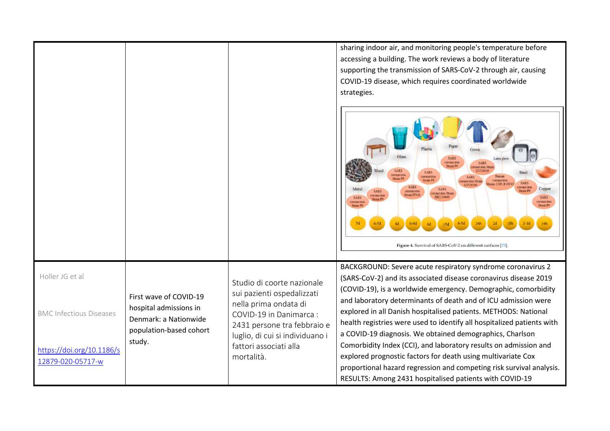|                                                |                                                                                                      |                                                                                                                   | sharing indoor air, and monitoring people's temperature before<br>accessing a building. The work reviews a body of literature<br>supporting the transmission of SARS-CoV-2 through air, causing<br>COVID-19 disease, which requires coordinated worldwide<br>strategies.<br><b>SARS</b><br>coronavirus<br><b>SARS</b><br><b>Strain PS</b><br>pronavirus Strai<br><b>SARS</b><br>GVU6109<br><b>SARS</b><br>:oronaviru<br>Humar<br><b>SARS</b><br>train P<br>coronavirus<br><b>Strain PG</b><br>navirus Strain<br>trains 229E & OC4<br><b>SARS</b><br>coronaviru<br>Copper<br><b>SARS</b><br><b>SARS</b><br>coronaviru<br>onavirus Strain<br>Strain FFM<br>ronavirt<br><b>HKU3084</b><br>otonavir<br>oronaviru<br>Strain P9 |
|------------------------------------------------|------------------------------------------------------------------------------------------------------|-------------------------------------------------------------------------------------------------------------------|---------------------------------------------------------------------------------------------------------------------------------------------------------------------------------------------------------------------------------------------------------------------------------------------------------------------------------------------------------------------------------------------------------------------------------------------------------------------------------------------------------------------------------------------------------------------------------------------------------------------------------------------------------------------------------------------------------------------------|
|                                                |                                                                                                      |                                                                                                                   | Figure 4. Survival of SARS-CoV-2 on different surfaces [73].                                                                                                                                                                                                                                                                                                                                                                                                                                                                                                                                                                                                                                                              |
| Holler JG et al                                |                                                                                                      | Studio di coorte nazionale<br>sui pazienti ospedalizzati                                                          | BACKGROUND: Severe acute respiratory syndrome coronavirus 2<br>(SARS-CoV-2) and its associated disease coronavirus disease 2019<br>(COVID-19), is a worldwide emergency. Demographic, comorbidity                                                                                                                                                                                                                                                                                                                                                                                                                                                                                                                         |
| <b>BMC Infectious Diseases</b>                 | First wave of COVID-19<br>hospital admissions in<br>Denmark: a Nationwide<br>population-based cohort | nella prima ondata di<br>COVID-19 in Danimarca:<br>2431 persone tra febbraio e<br>luglio, di cui si individuano i | and laboratory determinants of death and of ICU admission were<br>explored in all Danish hospitalised patients. METHODS: National<br>health registries were used to identify all hospitalized patients with<br>a COVID-19 diagnosis. We obtained demographics, Charlson                                                                                                                                                                                                                                                                                                                                                                                                                                                   |
| https://doi.org/10.1186/s<br>12879-020-05717-w | study.                                                                                               | fattori associati alla<br>mortalità.                                                                              | Comorbidity Index (CCI), and laboratory results on admission and<br>explored prognostic factors for death using multivariate Cox<br>proportional hazard regression and competing risk survival analysis.<br>RESULTS: Among 2431 hospitalised patients with COVID-19                                                                                                                                                                                                                                                                                                                                                                                                                                                       |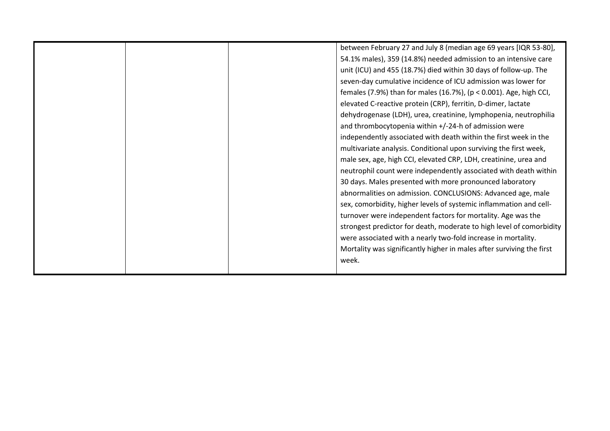|  | between February 27 and July 8 (median age 69 years [IQR 53-80],      |
|--|-----------------------------------------------------------------------|
|  | 54.1% males), 359 (14.8%) needed admission to an intensive care       |
|  | unit (ICU) and 455 (18.7%) died within 30 days of follow-up. The      |
|  | seven-day cumulative incidence of ICU admission was lower for         |
|  | females (7.9%) than for males (16.7%), (p < 0.001). Age, high CCI,    |
|  | elevated C-reactive protein (CRP), ferritin, D-dimer, lactate         |
|  | dehydrogenase (LDH), urea, creatinine, lymphopenia, neutrophilia      |
|  | and thrombocytopenia within +/-24-h of admission were                 |
|  | independently associated with death within the first week in the      |
|  | multivariate analysis. Conditional upon surviving the first week,     |
|  | male sex, age, high CCI, elevated CRP, LDH, creatinine, urea and      |
|  | neutrophil count were independently associated with death within      |
|  | 30 days. Males presented with more pronounced laboratory              |
|  | abnormalities on admission. CONCLUSIONS: Advanced age, male           |
|  | sex, comorbidity, higher levels of systemic inflammation and cell-    |
|  | turnover were independent factors for mortality. Age was the          |
|  | strongest predictor for death, moderate to high level of comorbidity  |
|  | were associated with a nearly two-fold increase in mortality.         |
|  | Mortality was significantly higher in males after surviving the first |
|  | week.                                                                 |
|  |                                                                       |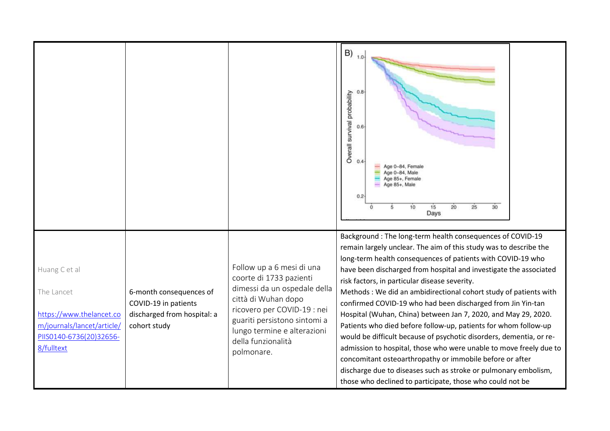|                                                                                                                                |                                                                                                |                                                                                                                                                                                                                                               | $B)$ 1.0<br>0.8<br>Overall survival probability<br>$0.6 -$<br>0.4<br>Age 0-84, Female<br>Age 0-84, Male<br>Age 85+, Female<br>Age 85+, Male<br>0.2<br>15<br>20<br>25<br>30<br>10<br>5<br>Days                                                                                                                                                                                                                                                                                                                                                                                                                                                                                                                                                                                                                                                                                                                                         |
|--------------------------------------------------------------------------------------------------------------------------------|------------------------------------------------------------------------------------------------|-----------------------------------------------------------------------------------------------------------------------------------------------------------------------------------------------------------------------------------------------|---------------------------------------------------------------------------------------------------------------------------------------------------------------------------------------------------------------------------------------------------------------------------------------------------------------------------------------------------------------------------------------------------------------------------------------------------------------------------------------------------------------------------------------------------------------------------------------------------------------------------------------------------------------------------------------------------------------------------------------------------------------------------------------------------------------------------------------------------------------------------------------------------------------------------------------|
| Huang C et al<br>The Lancet<br>https://www.thelancet.co<br>m/journals/lancet/article/<br>PIIS0140-6736(20)32656-<br>8/fulltext | 6-month consequences of<br>COVID-19 in patients<br>discharged from hospital: a<br>cohort study | Follow up a 6 mesi di una<br>coorte di 1733 pazienti<br>dimessi da un ospedale della<br>città di Wuhan dopo<br>ricovero per COVID-19 : nei<br>guariti persistono sintomi a<br>lungo termine e alterazioni<br>della funzionalità<br>polmonare. | Background : The long-term health consequences of COVID-19<br>remain largely unclear. The aim of this study was to describe the<br>long-term health consequences of patients with COVID-19 who<br>have been discharged from hospital and investigate the associated<br>risk factors, in particular disease severity.<br>Methods: We did an ambidirectional cohort study of patients with<br>confirmed COVID-19 who had been discharged from Jin Yin-tan<br>Hospital (Wuhan, China) between Jan 7, 2020, and May 29, 2020.<br>Patients who died before follow-up, patients for whom follow-up<br>would be difficult because of psychotic disorders, dementia, or re-<br>admission to hospital, those who were unable to move freely due to<br>concomitant osteoarthropathy or immobile before or after<br>discharge due to diseases such as stroke or pulmonary embolism,<br>those who declined to participate, those who could not be |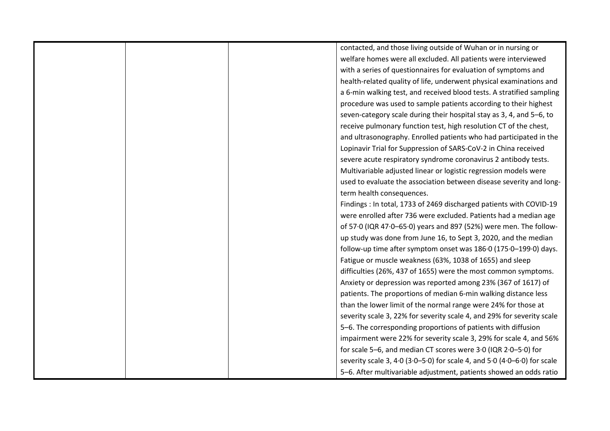|  | contacted, and those living outside of Wuhan or in nursing or            |
|--|--------------------------------------------------------------------------|
|  | welfare homes were all excluded. All patients were interviewed           |
|  | with a series of questionnaires for evaluation of symptoms and           |
|  | health-related quality of life, underwent physical examinations and      |
|  | a 6-min walking test, and received blood tests. A stratified sampling    |
|  | procedure was used to sample patients according to their highest         |
|  | seven-category scale during their hospital stay as 3, 4, and 5-6, to     |
|  | receive pulmonary function test, high resolution CT of the chest,        |
|  | and ultrasonography. Enrolled patients who had participated in the       |
|  | Lopinavir Trial for Suppression of SARS-CoV-2 in China received          |
|  | severe acute respiratory syndrome coronavirus 2 antibody tests.          |
|  | Multivariable adjusted linear or logistic regression models were         |
|  | used to evaluate the association between disease severity and long-      |
|  | term health consequences.                                                |
|  | Findings : In total, 1733 of 2469 discharged patients with COVID-19      |
|  | were enrolled after 736 were excluded. Patients had a median age         |
|  | of 57.0 (IQR 47.0-65.0) years and 897 (52%) were men. The follow-        |
|  | up study was done from June 16, to Sept 3, 2020, and the median          |
|  | follow-up time after symptom onset was 186.0 (175.0-199.0) days.         |
|  | Fatigue or muscle weakness (63%, 1038 of 1655) and sleep                 |
|  | difficulties (26%, 437 of 1655) were the most common symptoms.           |
|  | Anxiety or depression was reported among 23% (367 of 1617) of            |
|  | patients. The proportions of median 6-min walking distance less          |
|  | than the lower limit of the normal range were 24% for those at           |
|  | severity scale 3, 22% for severity scale 4, and 29% for severity scale   |
|  | 5-6. The corresponding proportions of patients with diffusion            |
|  | impairment were 22% for severity scale 3, 29% for scale 4, and 56%       |
|  | for scale 5-6, and median CT scores were 3.0 (IQR 2.0-5.0) for           |
|  | severity scale 3, 4.0 (3.0-5.0) for scale 4, and 5.0 (4.0-6.0) for scale |
|  | 5-6. After multivariable adjustment, patients showed an odds ratio       |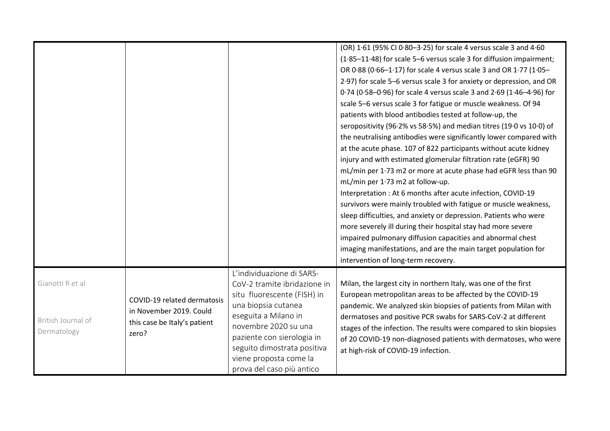|                                                       |                                                                                                 |                                                                                                                                                                                                                                                                                     | (OR) 1.61 (95% CI 0.80-3.25) for scale 4 versus scale 3 and 4.60<br>(1.85-11.48) for scale 5-6 versus scale 3 for diffusion impairment;<br>OR 0.88 (0.66-1.17) for scale 4 versus scale 3 and OR 1.77 (1.05-<br>2.97) for scale 5-6 versus scale 3 for anxiety or depression, and OR<br>0.74 (0.58-0.96) for scale 4 versus scale 3 and 2.69 (1.46-4.96) for<br>scale 5-6 versus scale 3 for fatigue or muscle weakness. Of 94<br>patients with blood antibodies tested at follow-up, the<br>seropositivity (96.2% vs 58.5%) and median titres (19.0 vs 10.0) of<br>the neutralising antibodies were significantly lower compared with<br>at the acute phase. 107 of 822 participants without acute kidney<br>injury and with estimated glomerular filtration rate (eGFR) 90<br>mL/min per 1.73 m2 or more at acute phase had eGFR less than 90<br>mL/min per 1.73 m2 at follow-up.<br>Interpretation : At 6 months after acute infection, COVID-19<br>survivors were mainly troubled with fatigue or muscle weakness,<br>sleep difficulties, and anxiety or depression. Patients who were<br>more severely ill during their hospital stay had more severe<br>impaired pulmonary diffusion capacities and abnormal chest<br>imaging manifestations, and are the main target population for<br>intervention of long-term recovery. |
|-------------------------------------------------------|-------------------------------------------------------------------------------------------------|-------------------------------------------------------------------------------------------------------------------------------------------------------------------------------------------------------------------------------------------------------------------------------------|-----------------------------------------------------------------------------------------------------------------------------------------------------------------------------------------------------------------------------------------------------------------------------------------------------------------------------------------------------------------------------------------------------------------------------------------------------------------------------------------------------------------------------------------------------------------------------------------------------------------------------------------------------------------------------------------------------------------------------------------------------------------------------------------------------------------------------------------------------------------------------------------------------------------------------------------------------------------------------------------------------------------------------------------------------------------------------------------------------------------------------------------------------------------------------------------------------------------------------------------------------------------------------------------------------------------------------------|
| Gianotti R et al<br>British Journal of<br>Dermatology | COVID-19 related dermatosis<br>in November 2019. Could<br>this case be Italy's patient<br>zero? | L'individuazione di SARS-<br>CoV-2 tramite ibridazione in<br>situ fluorescente (FISH) in<br>una biopsia cutanea<br>eseguita a Milano in<br>novembre 2020 su una<br>paziente con sierologia in<br>seguito dimostrata positiva<br>viene proposta come la<br>prova del caso più antico | Milan, the largest city in northern Italy, was one of the first<br>European metropolitan areas to be affected by the COVID-19<br>pandemic. We analyzed skin biopsies of patients from Milan with<br>dermatoses and positive PCR swabs for SARS-CoV-2 at different<br>stages of the infection. The results were compared to skin biopsies<br>of 20 COVID-19 non-diagnosed patients with dermatoses, who were<br>at high-risk of COVID-19 infection.                                                                                                                                                                                                                                                                                                                                                                                                                                                                                                                                                                                                                                                                                                                                                                                                                                                                                |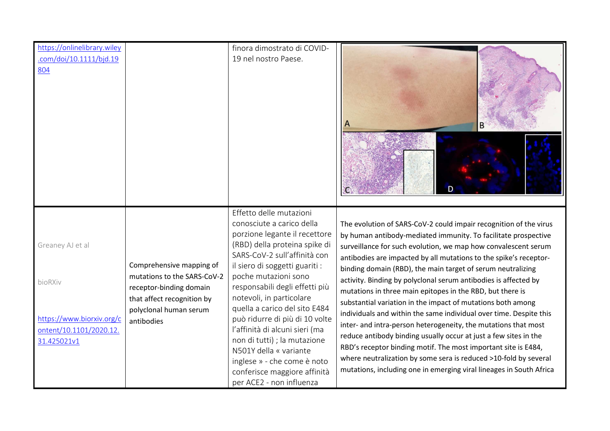| https://onlinelibrary.wiley                                                                        |                                                                                                                                                          | finora dimostrato di COVID-                                                                                                                                                                                                                                                                                                                                                                                                                                                                                                              |                                                                                                                                                                                                                                                                                                                                                                                                                                                                                                                                                                                                                                                                                                                                                                                                                                                                                                                                                                   |
|----------------------------------------------------------------------------------------------------|----------------------------------------------------------------------------------------------------------------------------------------------------------|------------------------------------------------------------------------------------------------------------------------------------------------------------------------------------------------------------------------------------------------------------------------------------------------------------------------------------------------------------------------------------------------------------------------------------------------------------------------------------------------------------------------------------------|-------------------------------------------------------------------------------------------------------------------------------------------------------------------------------------------------------------------------------------------------------------------------------------------------------------------------------------------------------------------------------------------------------------------------------------------------------------------------------------------------------------------------------------------------------------------------------------------------------------------------------------------------------------------------------------------------------------------------------------------------------------------------------------------------------------------------------------------------------------------------------------------------------------------------------------------------------------------|
| .com/doi/10.1111/bjd.19<br>804                                                                     |                                                                                                                                                          | 19 nel nostro Paese.                                                                                                                                                                                                                                                                                                                                                                                                                                                                                                                     | A                                                                                                                                                                                                                                                                                                                                                                                                                                                                                                                                                                                                                                                                                                                                                                                                                                                                                                                                                                 |
| Greaney AJ et al<br>bioRXiv<br>https://www.biorxiv.org/c<br>ontent/10.1101/2020.12.<br>31.425021v1 | Comprehensive mapping of<br>mutations to the SARS-CoV-2<br>receptor-binding domain<br>that affect recognition by<br>polyclonal human serum<br>antibodies | Effetto delle mutazioni<br>conosciute a carico della<br>porzione legante il recettore<br>(RBD) della proteina spike di<br>SARS-CoV-2 sull'affinità con<br>il siero di soggetti guariti :<br>poche mutazioni sono<br>responsabili degli effetti più<br>notevoli, in particolare<br>quella a carico del sito E484<br>può ridurre di più di 10 volte<br>l'affinità di alcuni sieri (ma<br>non di tutti) ; la mutazione<br>N501Y della « variante<br>inglese » - che come è noto<br>conferisce maggiore affinità<br>per ACE2 - non influenza | The evolution of SARS-CoV-2 could impair recognition of the virus<br>by human antibody-mediated immunity. To facilitate prospective<br>surveillance for such evolution, we map how convalescent serum<br>antibodies are impacted by all mutations to the spike's receptor-<br>binding domain (RBD), the main target of serum neutralizing<br>activity. Binding by polyclonal serum antibodies is affected by<br>mutations in three main epitopes in the RBD, but there is<br>substantial variation in the impact of mutations both among<br>individuals and within the same individual over time. Despite this<br>inter- and intra-person heterogeneity, the mutations that most<br>reduce antibody binding usually occur at just a few sites in the<br>RBD's receptor binding motif. The most important site is E484,<br>where neutralization by some sera is reduced >10-fold by several<br>mutations, including one in emerging viral lineages in South Africa |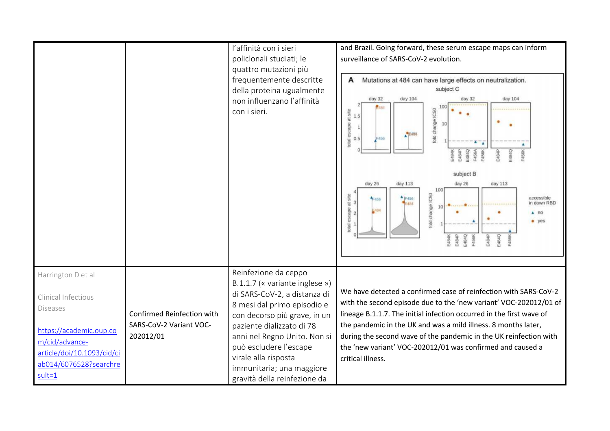|                                                                                                                 |                                      | l'affinità con i sieri<br>policlonali studiati; le<br>quattro mutazioni più<br>frequentemente descritte<br>della proteina ugualmente<br>non influenzano l'affinità<br>con i sieri. | and Brazil. Going forward, these serum escape maps can inform<br>surveillance of SARS-CoV-2 evolution.<br>Mutations at 484 can have large effects on neutralization.<br>A<br>subject C<br>day 32<br>day 104<br>day 104<br>$day$ 32<br>fold change IC50<br>escape at site<br>1.5<br>10<br>$\mathbf{1}$<br>$A$ <sup>P</sup> E456<br>F456<br>0.5<br>otal<br>٠<br>E4B4Q<br>E484P<br><b>456A</b><br>subject B<br>day 26<br>day 113<br>day 26<br>day 113<br>100<br>fold change IC50<br>escape at site<br>accessible<br>$+$ $F456$<br>$1 - 456$<br>in down RBD<br>E484<br>з<br>5484<br>$A$ no<br>$\overline{2}$<br>· yes<br>total<br>484Q<br>E484P<br>484P<br>484Q<br>54848 |
|-----------------------------------------------------------------------------------------------------------------|--------------------------------------|------------------------------------------------------------------------------------------------------------------------------------------------------------------------------------|----------------------------------------------------------------------------------------------------------------------------------------------------------------------------------------------------------------------------------------------------------------------------------------------------------------------------------------------------------------------------------------------------------------------------------------------------------------------------------------------------------------------------------------------------------------------------------------------------------------------------------------------------------------------|
| Harrington D et al<br>Clinical Infectious<br><b>Diseases</b>                                                    | Confirmed Reinfection with           | Reinfezione da ceppo<br>B.1.1.7 (« variante inglese »)<br>di SARS-CoV-2, a distanza di<br>8 mesi dal primo episodio e<br>con decorso più grave, in un                              | We have detected a confirmed case of reinfection with SARS-CoV-2<br>with the second episode due to the 'new variant' VOC-202012/01 of<br>lineage B.1.1.7. The initial infection occurred in the first wave of                                                                                                                                                                                                                                                                                                                                                                                                                                                        |
| https://academic.oup.co<br>m/cid/advance-<br>article/doi/10.1093/cid/ci<br>ab014/6076528?searchre<br>$sult = 1$ | SARS-CoV-2 Variant VOC-<br>202012/01 | paziente dializzato di 78<br>anni nel Regno Unito. Non si<br>può escludere l'escape<br>virale alla risposta<br>immunitaria; una maggiore<br>gravità della reinfezione da           | the pandemic in the UK and was a mild illness. 8 months later,<br>during the second wave of the pandemic in the UK reinfection with<br>the 'new variant' VOC-202012/01 was confirmed and caused a<br>critical illness.                                                                                                                                                                                                                                                                                                                                                                                                                                               |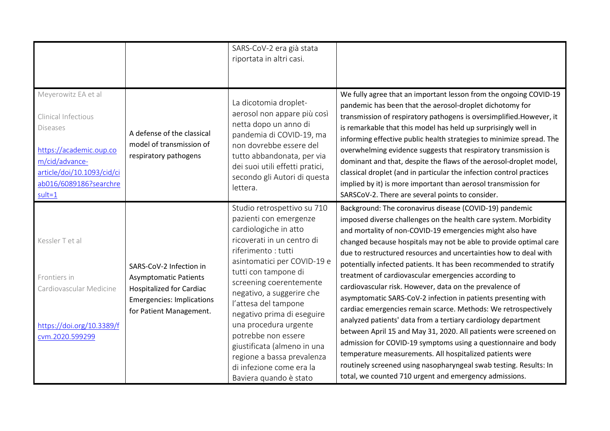|                                                                                                                                                                                  |                                                                                                                                                           | SARS-CoV-2 era già stata<br>riportata in altri casi.                                                                                                                                                                                                                                                                                                                                                                                                                       |                                                                                                                                                                                                                                                                                                                                                                                                                                                                                                                                                                                                                                                                                                                                                                                                                                                                                                                                                                                                                                                                |
|----------------------------------------------------------------------------------------------------------------------------------------------------------------------------------|-----------------------------------------------------------------------------------------------------------------------------------------------------------|----------------------------------------------------------------------------------------------------------------------------------------------------------------------------------------------------------------------------------------------------------------------------------------------------------------------------------------------------------------------------------------------------------------------------------------------------------------------------|----------------------------------------------------------------------------------------------------------------------------------------------------------------------------------------------------------------------------------------------------------------------------------------------------------------------------------------------------------------------------------------------------------------------------------------------------------------------------------------------------------------------------------------------------------------------------------------------------------------------------------------------------------------------------------------------------------------------------------------------------------------------------------------------------------------------------------------------------------------------------------------------------------------------------------------------------------------------------------------------------------------------------------------------------------------|
| Meyerowitz EA et al<br>Clinical Infectious<br><b>Diseases</b><br>https://academic.oup.co<br>m/cid/advance-<br>article/doi/10.1093/cid/ci<br>ab016/6089186?searchre<br>$sult = 1$ | A defense of the classical<br>model of transmission of<br>respiratory pathogens                                                                           | La dicotomia droplet-<br>aerosol non appare più così<br>netta dopo un anno di<br>pandemia di COVID-19, ma<br>non dovrebbe essere del<br>tutto abbandonata, per via<br>dei suoi utili effetti pratici,<br>secondo gli Autori di questa<br>lettera.                                                                                                                                                                                                                          | We fully agree that an important lesson from the ongoing COVID-19<br>pandemic has been that the aerosol-droplet dichotomy for<br>transmission of respiratory pathogens is oversimplified. However, it<br>is remarkable that this model has held up surprisingly well in<br>informing effective public health strategies to minimize spread. The<br>overwhelming evidence suggests that respiratory transmission is<br>dominant and that, despite the flaws of the aerosol-droplet model,<br>classical droplet (and in particular the infection control practices<br>implied by it) is more important than aerosol transmission for<br>SARSCoV-2. There are several points to consider.                                                                                                                                                                                                                                                                                                                                                                         |
| Kessler T et al<br>Frontiers in<br>Cardiovascular Medicine<br>https://doi.org/10.3389/f<br>cvm.2020.599299                                                                       | SARS-CoV-2 Infection in<br><b>Asymptomatic Patients</b><br><b>Hospitalized for Cardiac</b><br><b>Emergencies: Implications</b><br>for Patient Management. | Studio retrospettivo su 710<br>pazienti con emergenze<br>cardiologiche in atto<br>ricoverati in un centro di<br>riferimento: tutti<br>asintomatici per COVID-19 e<br>tutti con tampone di<br>screening coerentemente<br>negativo, a suggerire che<br>l'attesa del tampone<br>negativo prima di eseguire<br>una procedura urgente<br>potrebbe non essere<br>giustificata (almeno in una<br>regione a bassa prevalenza<br>di infezione come era la<br>Baviera quando è stato | Background: The coronavirus disease (COVID-19) pandemic<br>imposed diverse challenges on the health care system. Morbidity<br>and mortality of non-COVID-19 emergencies might also have<br>changed because hospitals may not be able to provide optimal care<br>due to restructured resources and uncertainties how to deal with<br>potentially infected patients. It has been recommended to stratify<br>treatment of cardiovascular emergencies according to<br>cardiovascular risk. However, data on the prevalence of<br>asymptomatic SARS-CoV-2 infection in patients presenting with<br>cardiac emergencies remain scarce. Methods: We retrospectively<br>analyzed patients' data from a tertiary cardiology department<br>between April 15 and May 31, 2020. All patients were screened on<br>admission for COVID-19 symptoms using a questionnaire and body<br>temperature measurements. All hospitalized patients were<br>routinely screened using nasopharyngeal swab testing. Results: In<br>total, we counted 710 urgent and emergency admissions. |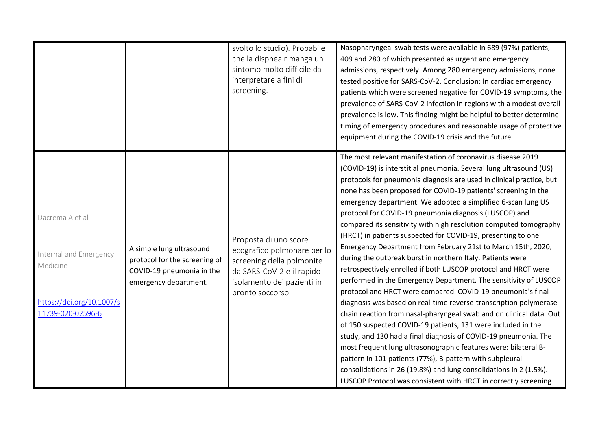|                                                                                                         |                                                                                                                 | svolto lo studio). Probabile<br>che la dispnea rimanga un<br>sintomo molto difficile da<br>interpretare a fini di<br>screening.                                  | Nasopharyngeal swab tests were available in 689 (97%) patients,<br>409 and 280 of which presented as urgent and emergency<br>admissions, respectively. Among 280 emergency admissions, none<br>tested positive for SARS-CoV-2. Conclusion: In cardiac emergency<br>patients which were screened negative for COVID-19 symptoms, the<br>prevalence of SARS-CoV-2 infection in regions with a modest overall<br>prevalence is low. This finding might be helpful to better determine<br>timing of emergency procedures and reasonable usage of protective<br>equipment during the COVID-19 crisis and the future.                                                                                                                                                                                                                                                                                                                                                                                                                                                                                                                                                                                                                                                                                                                                                                                                                     |
|---------------------------------------------------------------------------------------------------------|-----------------------------------------------------------------------------------------------------------------|------------------------------------------------------------------------------------------------------------------------------------------------------------------|-------------------------------------------------------------------------------------------------------------------------------------------------------------------------------------------------------------------------------------------------------------------------------------------------------------------------------------------------------------------------------------------------------------------------------------------------------------------------------------------------------------------------------------------------------------------------------------------------------------------------------------------------------------------------------------------------------------------------------------------------------------------------------------------------------------------------------------------------------------------------------------------------------------------------------------------------------------------------------------------------------------------------------------------------------------------------------------------------------------------------------------------------------------------------------------------------------------------------------------------------------------------------------------------------------------------------------------------------------------------------------------------------------------------------------------|
| Dacrema A et al<br>Internal and Emergency<br>Medicine<br>https://doi.org/10.1007/s<br>11739-020-02596-6 | A simple lung ultrasound<br>protocol for the screening of<br>COVID-19 pneumonia in the<br>emergency department. | Proposta di uno score<br>ecografico polmonare per lo<br>screening della polmonite<br>da SARS-CoV-2 e il rapido<br>isolamento dei pazienti in<br>pronto soccorso. | The most relevant manifestation of coronavirus disease 2019<br>(COVID-19) is interstitial pneumonia. Several lung ultrasound (US)<br>protocols for pneumonia diagnosis are used in clinical practice, but<br>none has been proposed for COVID-19 patients' screening in the<br>emergency department. We adopted a simplified 6-scan lung US<br>protocol for COVID-19 pneumonia diagnosis (LUSCOP) and<br>compared its sensitivity with high resolution computed tomography<br>(HRCT) in patients suspected for COVID-19, presenting to one<br>Emergency Department from February 21st to March 15th, 2020,<br>during the outbreak burst in northern Italy. Patients were<br>retrospectively enrolled if both LUSCOP protocol and HRCT were<br>performed in the Emergency Department. The sensitivity of LUSCOP<br>protocol and HRCT were compared. COVID-19 pneumonia's final<br>diagnosis was based on real-time reverse-transcription polymerase<br>chain reaction from nasal-pharyngeal swab and on clinical data. Out<br>of 150 suspected COVID-19 patients, 131 were included in the<br>study, and 130 had a final diagnosis of COVID-19 pneumonia. The<br>most frequent lung ultrasonographic features were: bilateral B-<br>pattern in 101 patients (77%), B-pattern with subpleural<br>consolidations in 26 (19.8%) and lung consolidations in 2 (1.5%).<br>LUSCOP Protocol was consistent with HRCT in correctly screening |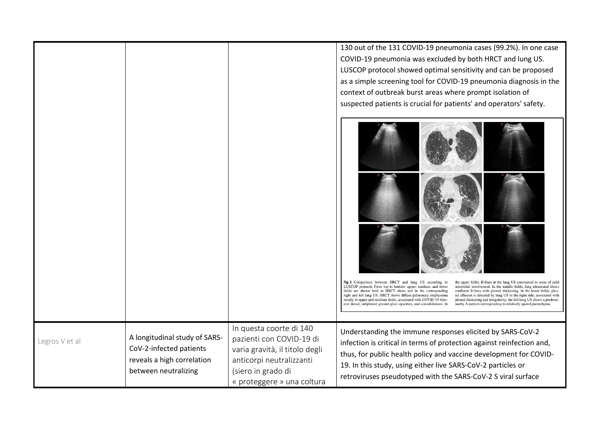|                |                                                                                                                |                                                                                                                                                                       | 130 out of the 131 COVID-19 pneumonia cases (99.2%). In one case<br>COVID-19 pneumonia was excluded by both HRCT and lung US.<br>LUSCOP protocol showed optimal sensitivity and can be proposed<br>as a simple screening tool for COVID-19 pneumonia diagnosis in the<br>context of outbreak burst areas where prompt isolation of<br>suspected patients is crucial for patients' and operators' safety.                                                                                                                                                                                                                                                                                                                                                                                                                                                     |
|----------------|----------------------------------------------------------------------------------------------------------------|-----------------------------------------------------------------------------------------------------------------------------------------------------------------------|--------------------------------------------------------------------------------------------------------------------------------------------------------------------------------------------------------------------------------------------------------------------------------------------------------------------------------------------------------------------------------------------------------------------------------------------------------------------------------------------------------------------------------------------------------------------------------------------------------------------------------------------------------------------------------------------------------------------------------------------------------------------------------------------------------------------------------------------------------------|
|                |                                                                                                                |                                                                                                                                                                       | Fig. 3 Comparison between HRCT and lung US according to<br>the upper fields, B-lines at the lung US correspond to areas of mild<br>LUSCOP protocol. From top to bottom: upper, medium, and lower<br>interstitial involvement. In the middle fields, lung ultrasound shows<br>fields are shown both in HRCT slices and in the corresponding<br>confluent B-lines with pleural thickening. In the lower fields, pleu-<br>right and left lung US. HRCT shows diffuse pulmonary emphysema<br>ral effusion is detected by lung US in the right side, associated with<br>mostly in upper and medium fields, associated with COVID-19 bilat-<br>pleural thickening and irregularity; the left lung US shows a predomi-<br>eral dorsal, subpleural ground-glass opacities, and consolidations. In<br>nantly A-pattern corresponding to relatively spared parenchyma. |
| Legros V et al | A longitudinal study of SARS-<br>CoV-2-infected patients<br>reveals a high correlation<br>between neutralizing | In questa coorte di 140<br>pazienti con COVID-19 di<br>varia gravità, il titolo degli<br>anticorpi neutralizzanti<br>(siero in grado di<br>« proteggere » una coltura | Understanding the immune responses elicited by SARS-CoV-2<br>infection is critical in terms of protection against reinfection and,<br>thus, for public health policy and vaccine development for COVID-<br>19. In this study, using either live SARS-CoV-2 particles or<br>retroviruses pseudotyped with the SARS-CoV-2 S viral surface                                                                                                                                                                                                                                                                                                                                                                                                                                                                                                                      |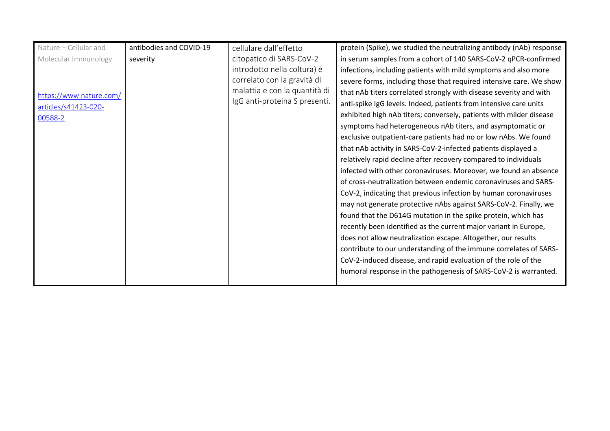| Nature - Cellular and   | antibodies and COVID-19 | cellulare dall'effetto        | protein (Spike), we studied the neutralizing antibody (nAb) response |
|-------------------------|-------------------------|-------------------------------|----------------------------------------------------------------------|
| Molecular Immunology    | severity                | citopatico di SARS-CoV-2      | in serum samples from a cohort of 140 SARS-CoV-2 qPCR-confirmed      |
|                         |                         | introdotto nella coltura) è   | infections, including patients with mild symptoms and also more      |
|                         |                         | correlato con la gravità di   | severe forms, including those that required intensive care. We show  |
| https://www.nature.com/ |                         | malattia e con la quantità di | that nAb titers correlated strongly with disease severity and with   |
| articles/s41423-020-    |                         | IgG anti-proteina S presenti. | anti-spike IgG levels. Indeed, patients from intensive care units    |
| 00588-2                 |                         |                               | exhibited high nAb titers; conversely, patients with milder disease  |
|                         |                         |                               | symptoms had heterogeneous nAb titers, and asymptomatic or           |
|                         |                         |                               | exclusive outpatient-care patients had no or low nAbs. We found      |
|                         |                         |                               | that nAb activity in SARS-CoV-2-infected patients displayed a        |
|                         |                         |                               | relatively rapid decline after recovery compared to individuals      |
|                         |                         |                               | infected with other coronaviruses. Moreover, we found an absence     |
|                         |                         |                               | of cross-neutralization between endemic coronaviruses and SARS-      |
|                         |                         |                               | CoV-2, indicating that previous infection by human coronaviruses     |
|                         |                         |                               | may not generate protective nAbs against SARS-CoV-2. Finally, we     |
|                         |                         |                               | found that the D614G mutation in the spike protein, which has        |
|                         |                         |                               | recently been identified as the current major variant in Europe,     |
|                         |                         |                               | does not allow neutralization escape. Altogether, our results        |
|                         |                         |                               | contribute to our understanding of the immune correlates of SARS-    |
|                         |                         |                               | CoV-2-induced disease, and rapid evaluation of the role of the       |
|                         |                         |                               | humoral response in the pathogenesis of SARS-CoV-2 is warranted.     |
|                         |                         |                               |                                                                      |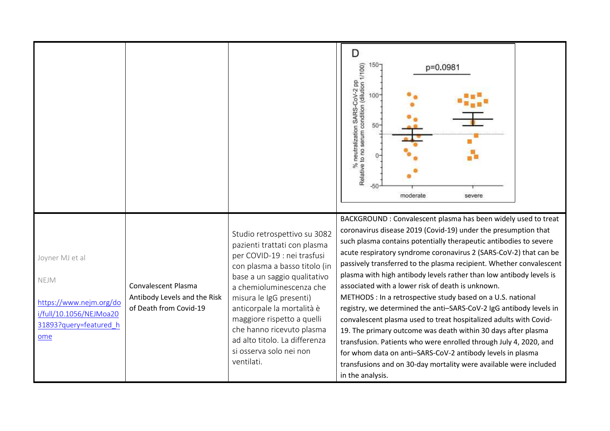|                                                                                                                |                                                                               |                                                                                                                                                                                                                                                                                                                                                                                        | D<br>150-<br>% neutralization SARS-CoV-2 pp<br>Relative to no serum condition (dilution 1/100)<br>p=0.0981<br>$100 -$<br>$50 -$<br>$-50$<br>moderate<br>severe                                                                                                                                                                                                                                                                                                                                                                                                                                                                                                                                                                                                                                                                                                                                                                                                                       |
|----------------------------------------------------------------------------------------------------------------|-------------------------------------------------------------------------------|----------------------------------------------------------------------------------------------------------------------------------------------------------------------------------------------------------------------------------------------------------------------------------------------------------------------------------------------------------------------------------------|--------------------------------------------------------------------------------------------------------------------------------------------------------------------------------------------------------------------------------------------------------------------------------------------------------------------------------------------------------------------------------------------------------------------------------------------------------------------------------------------------------------------------------------------------------------------------------------------------------------------------------------------------------------------------------------------------------------------------------------------------------------------------------------------------------------------------------------------------------------------------------------------------------------------------------------------------------------------------------------|
| Joyner MJ et al<br>NEJM<br>https://www.nejm.org/do<br>i/full/10.1056/NEJMoa20<br>31893?query=featured h<br>ome | Convalescent Plasma<br>Antibody Levels and the Risk<br>of Death from Covid-19 | Studio retrospettivo su 3082<br>pazienti trattati con plasma<br>per COVID-19 : nei trasfusi<br>con plasma a basso titolo (in<br>base a un saggio qualitativo<br>a chemioluminescenza che<br>misura le IgG presenti)<br>anticorpale la mortalità è<br>maggiore rispetto a quelli<br>che hanno ricevuto plasma<br>ad alto titolo. La differenza<br>si osserva solo nei non<br>ventilati. | BACKGROUND : Convalescent plasma has been widely used to treat<br>coronavirus disease 2019 (Covid-19) under the presumption that<br>such plasma contains potentially therapeutic antibodies to severe<br>acute respiratory syndrome coronavirus 2 (SARS-CoV-2) that can be<br>passively transferred to the plasma recipient. Whether convalescent<br>plasma with high antibody levels rather than low antibody levels is<br>associated with a lower risk of death is unknown.<br>METHODS : In a retrospective study based on a U.S. national<br>registry, we determined the anti-SARS-CoV-2 IgG antibody levels in<br>convalescent plasma used to treat hospitalized adults with Covid-<br>19. The primary outcome was death within 30 days after plasma<br>transfusion. Patients who were enrolled through July 4, 2020, and<br>for whom data on anti-SARS-CoV-2 antibody levels in plasma<br>transfusions and on 30-day mortality were available were included<br>in the analysis. |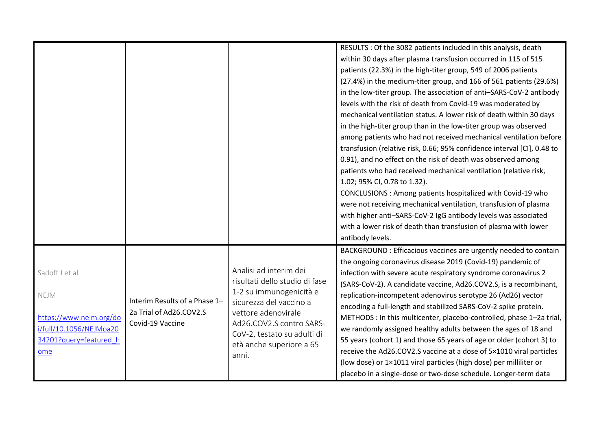|                                                                                                               |                                                                              |                                                                                                                                                                                                                                       | RESULTS : Of the 3082 patients included in this analysis, death<br>within 30 days after plasma transfusion occurred in 115 of 515<br>patients (22.3%) in the high-titer group, 549 of 2006 patients<br>(27.4%) in the medium-titer group, and 166 of 561 patients (29.6%)<br>in the low-titer group. The association of anti-SARS-CoV-2 antibody<br>levels with the risk of death from Covid-19 was moderated by<br>mechanical ventilation status. A lower risk of death within 30 days<br>in the high-titer group than in the low-titer group was observed<br>among patients who had not received mechanical ventilation before<br>transfusion (relative risk, 0.66; 95% confidence interval [CI], 0.48 to<br>0.91), and no effect on the risk of death was observed among<br>patients who had received mechanical ventilation (relative risk,<br>1.02; 95% CI, 0.78 to 1.32).<br>CONCLUSIONS : Among patients hospitalized with Covid-19 who<br>were not receiving mechanical ventilation, transfusion of plasma<br>with higher anti-SARS-CoV-2 IgG antibody levels was associated<br>with a lower risk of death than transfusion of plasma with lower |
|---------------------------------------------------------------------------------------------------------------|------------------------------------------------------------------------------|---------------------------------------------------------------------------------------------------------------------------------------------------------------------------------------------------------------------------------------|----------------------------------------------------------------------------------------------------------------------------------------------------------------------------------------------------------------------------------------------------------------------------------------------------------------------------------------------------------------------------------------------------------------------------------------------------------------------------------------------------------------------------------------------------------------------------------------------------------------------------------------------------------------------------------------------------------------------------------------------------------------------------------------------------------------------------------------------------------------------------------------------------------------------------------------------------------------------------------------------------------------------------------------------------------------------------------------------------------------------------------------------------------|
|                                                                                                               |                                                                              |                                                                                                                                                                                                                                       | antibody levels.                                                                                                                                                                                                                                                                                                                                                                                                                                                                                                                                                                                                                                                                                                                                                                                                                                                                                                                                                                                                                                                                                                                                         |
| Sadoff J et al<br>NEJM<br>https://www.nejm.org/do<br>i/full/10.1056/NEJMoa20<br>34201?query=featured_h<br>ome | Interim Results of a Phase 1-<br>2a Trial of Ad26.COV2.S<br>Covid-19 Vaccine | Analisi ad interim dei<br>risultati dello studio di fase<br>1-2 su immunogenicità e<br>sicurezza del vaccino a<br>vettore adenovirale<br>Ad26.COV2.S contro SARS-<br>CoV-2, testato su adulti di<br>età anche superiore a 65<br>anni. | BACKGROUND : Efficacious vaccines are urgently needed to contain<br>the ongoing coronavirus disease 2019 (Covid-19) pandemic of<br>infection with severe acute respiratory syndrome coronavirus 2<br>(SARS-CoV-2). A candidate vaccine, Ad26.COV2.S, is a recombinant,<br>replication-incompetent adenovirus serotype 26 (Ad26) vector<br>encoding a full-length and stabilized SARS-CoV-2 spike protein.<br>METHODS : In this multicenter, placebo-controlled, phase 1-2a trial,<br>we randomly assigned healthy adults between the ages of 18 and<br>55 years (cohort 1) and those 65 years of age or older (cohort 3) to<br>receive the Ad26.COV2.S vaccine at a dose of 5×1010 viral particles<br>(low dose) or 1×1011 viral particles (high dose) per milliliter or<br>placebo in a single-dose or two-dose schedule. Longer-term data                                                                                                                                                                                                                                                                                                              |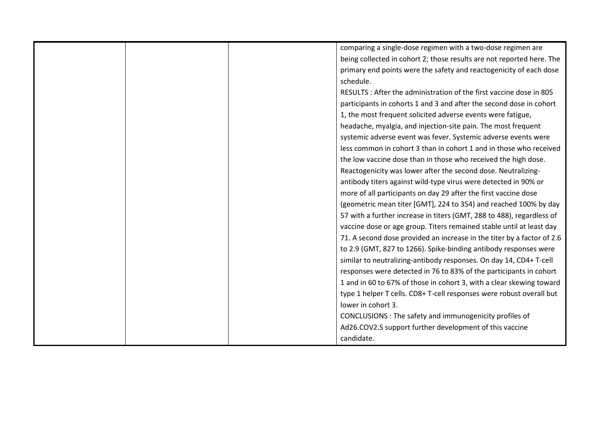|  | comparing a single-dose regimen with a two-dose regimen are            |
|--|------------------------------------------------------------------------|
|  | being collected in cohort 2; those results are not reported here. The  |
|  | primary end points were the safety and reactogenicity of each dose     |
|  | schedule.                                                              |
|  | RESULTS: After the administration of the first vaccine dose in 805     |
|  | participants in cohorts 1 and 3 and after the second dose in cohort    |
|  | 1, the most frequent solicited adverse events were fatigue,            |
|  | headache, myalgia, and injection-site pain. The most frequent          |
|  | systemic adverse event was fever. Systemic adverse events were         |
|  | less common in cohort 3 than in cohort 1 and in those who received     |
|  | the low vaccine dose than in those who received the high dose.         |
|  | Reactogenicity was lower after the second dose. Neutralizing-          |
|  | antibody titers against wild-type virus were detected in 90% or        |
|  | more of all participants on day 29 after the first vaccine dose        |
|  | (geometric mean titer [GMT], 224 to 354) and reached 100% by day       |
|  | 57 with a further increase in titers (GMT, 288 to 488), regardless of  |
|  | vaccine dose or age group. Titers remained stable until at least day   |
|  | 71. A second dose provided an increase in the titer by a factor of 2.6 |
|  | to 2.9 (GMT, 827 to 1266). Spike-binding antibody responses were       |
|  | similar to neutralizing-antibody responses. On day 14, CD4+ T-cell     |
|  | responses were detected in 76 to 83% of the participants in cohort     |
|  | 1 and in 60 to 67% of those in cohort 3, with a clear skewing toward   |
|  | type 1 helper T cells. CD8+ T-cell responses were robust overall but   |
|  | lower in cohort 3.                                                     |
|  | CONCLUSIONS : The safety and immunogenicity profiles of                |
|  | Ad26.COV2.S support further development of this vaccine                |
|  | candidate.                                                             |
|  |                                                                        |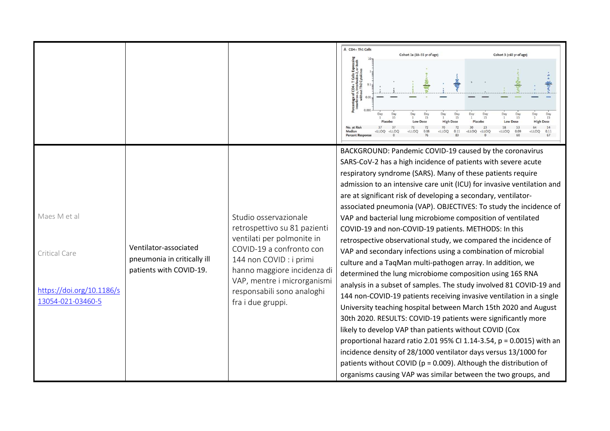|                                                                                 |                                                                                 |                                                                                                                                                                                                                                                             | A CD4+ Th1 Cells<br>Cohort 1a (18-55 yr of age)<br>Cohort 3 (≥65 yr of age)<br>f CD4+ T Cells Expre<br>-y, Interleukin-2, or B<br>out Th2 Cytokines<br>0.0<br>Day<br>Day<br>$_{15}^{Day}$<br>Day<br>15<br>15<br>15<br>15<br>Placebo<br>Low<br>71<br>No. at Ris<br>Mediar<br>$<$ LLOQ<br>$<$ LLOQ<br>CLLOQ<br><b>CLLOO</b><br>$<$ LLOC<br>0.08<br>0.11<br>$<1$ LOO<br><lloc<br>CLLOO<br/>0.11</lloc<br>                                                                                                                                                                                                                                                                                                                                                                                                                                                                                                                                                                                                                                                                                                                                                                                                                                                                                                                                                                                                                         |
|---------------------------------------------------------------------------------|---------------------------------------------------------------------------------|-------------------------------------------------------------------------------------------------------------------------------------------------------------------------------------------------------------------------------------------------------------|--------------------------------------------------------------------------------------------------------------------------------------------------------------------------------------------------------------------------------------------------------------------------------------------------------------------------------------------------------------------------------------------------------------------------------------------------------------------------------------------------------------------------------------------------------------------------------------------------------------------------------------------------------------------------------------------------------------------------------------------------------------------------------------------------------------------------------------------------------------------------------------------------------------------------------------------------------------------------------------------------------------------------------------------------------------------------------------------------------------------------------------------------------------------------------------------------------------------------------------------------------------------------------------------------------------------------------------------------------------------------------------------------------------------------------|
| Maes M et al<br>Critical Care<br>https://doi.org/10.1186/s<br>13054-021-03460-5 | Ventilator-associated<br>pneumonia in critically ill<br>patients with COVID-19. | Studio osservazionale<br>retrospettivo su 81 pazienti<br>ventilati per polmonite in<br>COVID-19 a confronto con<br>144 non COVID : i primi<br>hanno maggiore incidenza di<br>VAP, mentre i microrganismi<br>responsabili sono analoghi<br>fra i due gruppi. | BACKGROUND: Pandemic COVID-19 caused by the coronavirus<br>SARS-CoV-2 has a high incidence of patients with severe acute<br>respiratory syndrome (SARS). Many of these patients require<br>admission to an intensive care unit (ICU) for invasive ventilation and<br>are at significant risk of developing a secondary, ventilator-<br>associated pneumonia (VAP). OBJECTIVES: To study the incidence of<br>VAP and bacterial lung microbiome composition of ventilated<br>COVID-19 and non-COVID-19 patients. METHODS: In this<br>retrospective observational study, we compared the incidence of<br>VAP and secondary infections using a combination of microbial<br>culture and a TaqMan multi-pathogen array. In addition, we<br>determined the lung microbiome composition using 16S RNA<br>analysis in a subset of samples. The study involved 81 COVID-19 and<br>144 non-COVID-19 patients receiving invasive ventilation in a single<br>University teaching hospital between March 15th 2020 and August<br>30th 2020. RESULTS: COVID-19 patients were significantly more<br>likely to develop VAP than patients without COVID (Cox<br>proportional hazard ratio 2.01 95% CI 1.14-3.54, p = 0.0015) with an<br>incidence density of 28/1000 ventilator days versus 13/1000 for<br>patients without COVID ( $p = 0.009$ ). Although the distribution of<br>organisms causing VAP was similar between the two groups, and |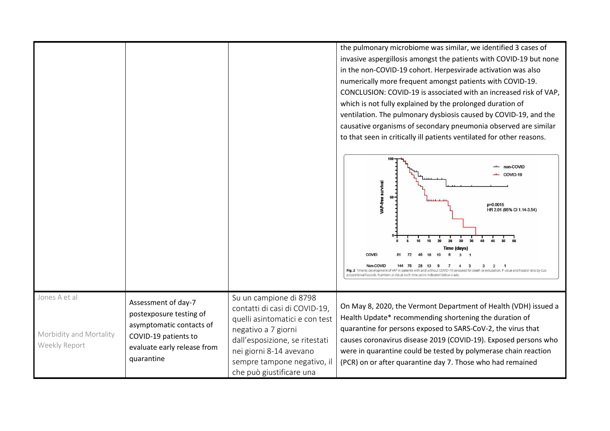the pulmonary microbiome was similar, we identified 3 cases of invasive aspergillosis amongst the patients with COVID-19 but none in the non-COVID-19 cohort. Herpesvirade activation was also numerically more frequent amongst patients with COVID-19. CONCLUSION: COVID-19 is associated with an increased risk of VAP, which is not fully explained by the prolonged duration of ventilation. The pulmonary dysbiosis caused by COVID-19, and the causative organisms of secondary pneumonia observed are similar

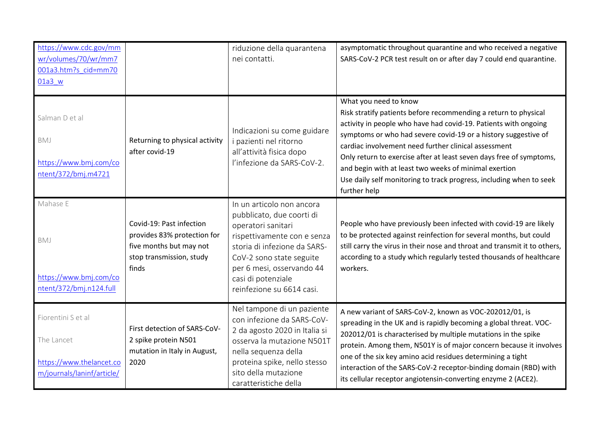| https://www.cdc.gov/mm<br>wr/volumes/70/wr/mm7<br>001a3.htm?s cid=mm70<br>01a3 w           |                                                                                                                         | riduzione della quarantena<br>nei contatti.                                                                                                                                                                                                             | asymptomatic throughout quarantine and who received a negative<br>SARS-CoV-2 PCR test result on or after day 7 could end quarantine.                                                                                                                                                                                                                                                                                                                                                                         |
|--------------------------------------------------------------------------------------------|-------------------------------------------------------------------------------------------------------------------------|---------------------------------------------------------------------------------------------------------------------------------------------------------------------------------------------------------------------------------------------------------|--------------------------------------------------------------------------------------------------------------------------------------------------------------------------------------------------------------------------------------------------------------------------------------------------------------------------------------------------------------------------------------------------------------------------------------------------------------------------------------------------------------|
| Salman D et al<br>BMJ<br>https://www.bmj.com/co<br>ntent/372/bmj.m4721                     | Returning to physical activity<br>after covid-19                                                                        | Indicazioni su come guidare<br>i pazienti nel ritorno<br>all'attività fisica dopo<br>l'infezione da SARS-CoV-2.                                                                                                                                         | What you need to know<br>Risk stratify patients before recommending a return to physical<br>activity in people who have had covid-19. Patients with ongoing<br>symptoms or who had severe covid-19 or a history suggestive of<br>cardiac involvement need further clinical assessment<br>Only return to exercise after at least seven days free of symptoms,<br>and begin with at least two weeks of minimal exertion<br>Use daily self monitoring to track progress, including when to seek<br>further help |
| Mahase E<br>BMJ<br>https://www.bmj.com/co<br>ntent/372/bmj.n124.full                       | Covid-19: Past infection<br>provides 83% protection for<br>five months but may not<br>stop transmission, study<br>finds | In un articolo non ancora<br>pubblicato, due coorti di<br>operatori sanitari<br>rispettivamente con e senza<br>storia di infezione da SARS-<br>CoV-2 sono state seguite<br>per 6 mesi, osservando 44<br>casi di potenziale<br>reinfezione su 6614 casi. | People who have previously been infected with covid-19 are likely<br>to be protected against reinfection for several months, but could<br>still carry the virus in their nose and throat and transmit it to others,<br>according to a study which regularly tested thousands of healthcare<br>workers.                                                                                                                                                                                                       |
| Fiorentini S et al<br>The Lancet<br>https://www.thelancet.co<br>m/journals/laninf/article/ | First detection of SARS-CoV-<br>2 spike protein N501<br>mutation in Italy in August,<br>2020                            | Nel tampone di un paziente<br>con infezione da SARS-CoV-<br>2 da agosto 2020 in Italia si<br>osserva la mutazione N501T<br>nella sequenza della<br>proteina spike, nello stesso<br>sito della mutazione<br>caratteristiche della                        | A new variant of SARS-CoV-2, known as VOC-202012/01, is<br>spreading in the UK and is rapidly becoming a global threat. VOC-<br>202012/01 is characterised by multiple mutations in the spike<br>protein. Among them, N501Y is of major concern because it involves<br>one of the six key amino acid residues determining a tight<br>interaction of the SARS-CoV-2 receptor-binding domain (RBD) with<br>its cellular receptor angiotensin-converting enzyme 2 (ACE2).                                       |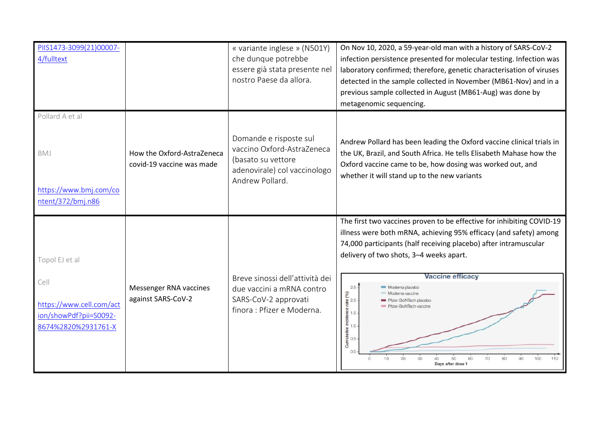| PIIS1473-3099(21)00007-<br>4/fulltext                                                               |                                                         | « variante inglese » (N501Y)<br>che dunque potrebbe<br>essere già stata presente nel<br>nostro Paese da allora.               | On Nov 10, 2020, a 59-year-old man with a history of SARS-CoV-2<br>infection persistence presented for molecular testing. Infection was<br>laboratory confirmed; therefore, genetic characterisation of viruses<br>detected in the sample collected in November (MB61-Nov) and in a<br>previous sample collected in August (MB61-Aug) was done by<br>metagenomic sequencing.                                                                                                                                                                    |
|-----------------------------------------------------------------------------------------------------|---------------------------------------------------------|-------------------------------------------------------------------------------------------------------------------------------|-------------------------------------------------------------------------------------------------------------------------------------------------------------------------------------------------------------------------------------------------------------------------------------------------------------------------------------------------------------------------------------------------------------------------------------------------------------------------------------------------------------------------------------------------|
| Pollard A et al<br>BMJ<br>https://www.bmj.com/co<br>ntent/372/bmj.n86                               | How the Oxford-AstraZeneca<br>covid-19 vaccine was made | Domande e risposte sul<br>vaccino Oxford-AstraZeneca<br>(basato su vettore<br>adenovirale) col vaccinologo<br>Andrew Pollard. | Andrew Pollard has been leading the Oxford vaccine clinical trials in<br>the UK, Brazil, and South Africa. He tells Elisabeth Mahase how the<br>Oxford vaccine came to be, how dosing was worked out, and<br>whether it will stand up to the new variants                                                                                                                                                                                                                                                                                       |
| Topol EJ et al<br>Cell<br>https://www.cell.com/act<br>ion/showPdf?pii=S0092-<br>8674%2820%2931761-X | Messenger RNA vaccines<br>against SARS-CoV-2            | Breve sinossi dell'attività dei<br>due vaccini a mRNA contro<br>SARS-CoV-2 approvati<br>finora : Pfizer e Moderna.            | The first two vaccines proven to be effective for inhibiting COVID-19<br>illness were both mRNA, achieving 95% efficacy (and safety) among<br>74,000 participants (half receiving placebo) after intramuscular<br>delivery of two shots, 3-4 weeks apart.<br>Vaccine efficacy<br>$2.5 -$<br>Moderna placebo<br>(96)<br>Moderna vaccine<br>$\frac{1}{2}$ 2.0<br>Pfizer-BioNTech placebo<br>Pfizer-BioNTech vaccine<br>e 1.5<br><b>Currelative</b> included:<br>0.5<br>0.5<br>50<br>100<br>110<br>10<br>20<br>60<br>70<br>90<br>Days after dose 1 |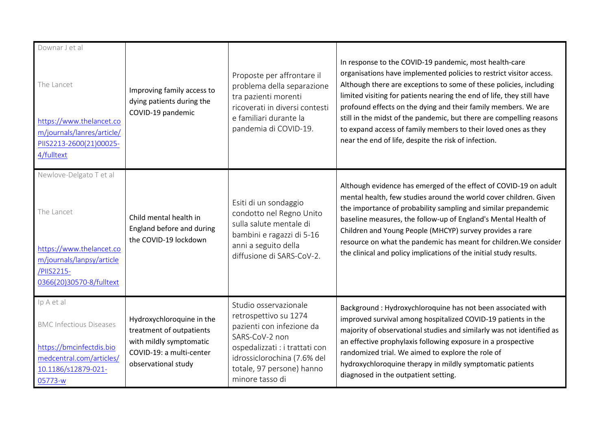| Downar J et al                                                                                                |                                                                                  |                                                                                                                                                                       |                                                                                                                                                                                                                                                                                                                                                                                                                                                                                                                                                   |
|---------------------------------------------------------------------------------------------------------------|----------------------------------------------------------------------------------|-----------------------------------------------------------------------------------------------------------------------------------------------------------------------|---------------------------------------------------------------------------------------------------------------------------------------------------------------------------------------------------------------------------------------------------------------------------------------------------------------------------------------------------------------------------------------------------------------------------------------------------------------------------------------------------------------------------------------------------|
| The Lancet<br>https://www.thelancet.co<br>m/journals/lanres/article/<br>PIIS2213-2600(21)00025-<br>4/fulltext | Improving family access to<br>dying patients during the<br>COVID-19 pandemic     | Proposte per affrontare il<br>problema della separazione<br>tra pazienti morenti<br>ricoverati in diversi contesti<br>e familiari durante la<br>pandemia di COVID-19. | In response to the COVID-19 pandemic, most health-care<br>organisations have implemented policies to restrict visitor access.<br>Although there are exceptions to some of these policies, including<br>limited visiting for patients nearing the end of life, they still have<br>profound effects on the dying and their family members. We are<br>still in the midst of the pandemic, but there are compelling reasons<br>to expand access of family members to their loved ones as they<br>near the end of life, despite the risk of infection. |
| Newlove-Delgato T et al                                                                                       |                                                                                  |                                                                                                                                                                       |                                                                                                                                                                                                                                                                                                                                                                                                                                                                                                                                                   |
| The Lancet<br>https://www.thelancet.co<br>m/journals/lanpsy/article<br>/PIIS2215-<br>0366(20)30570-8/fulltext | Child mental health in<br>England before and during<br>the COVID-19 lockdown     | Esiti di un sondaggio<br>condotto nel Regno Unito<br>sulla salute mentale di<br>bambini e ragazzi di 5-16<br>anni a seguito della<br>diffusione di SARS-CoV-2.        | Although evidence has emerged of the effect of COVID-19 on adult<br>mental health, few studies around the world cover children. Given<br>the importance of probability sampling and similar prepandemic<br>baseline measures, the follow-up of England's Mental Health of<br>Children and Young People (MHCYP) survey provides a rare<br>resource on what the pandemic has meant for children. We consider<br>the clinical and policy implications of the initial study results.                                                                  |
| Ip A et al                                                                                                    |                                                                                  | Studio osservazionale                                                                                                                                                 | Background : Hydroxychloroquine has not been associated with                                                                                                                                                                                                                                                                                                                                                                                                                                                                                      |
| <b>BMC Infectious Diseases</b>                                                                                | Hydroxychloroquine in the<br>treatment of outpatients<br>with mildly symptomatic | retrospettivo su 1274<br>pazienti con infezione da<br>SARS-CoV-2 non                                                                                                  | improved survival among hospitalized COVID-19 patients in the<br>majority of observational studies and similarly was not identified as<br>an effective prophylaxis following exposure in a prospective                                                                                                                                                                                                                                                                                                                                            |
| https://bmcinfectdis.bio                                                                                      | COVID-19: a multi-center                                                         | ospedalizzati : i trattati con                                                                                                                                        | randomized trial. We aimed to explore the role of                                                                                                                                                                                                                                                                                                                                                                                                                                                                                                 |
| medcentral.com/articles/<br>10.1186/s12879-021-                                                               | observational study                                                              | idrossiclorochina (7.6% del<br>totale, 97 persone) hanno                                                                                                              | hydroxychloroquine therapy in mildly symptomatic patients                                                                                                                                                                                                                                                                                                                                                                                                                                                                                         |
| 05773-w                                                                                                       |                                                                                  | minore tasso di                                                                                                                                                       | diagnosed in the outpatient setting.                                                                                                                                                                                                                                                                                                                                                                                                                                                                                                              |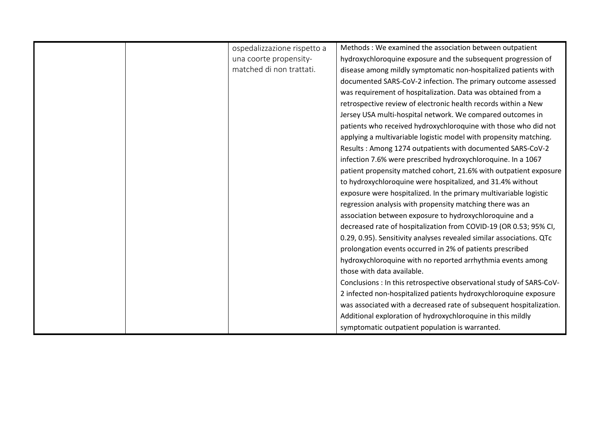|  | ospedalizzazione rispetto a | Methods : We examined the association between outpatient             |
|--|-----------------------------|----------------------------------------------------------------------|
|  | una coorte propensity-      | hydroxychloroquine exposure and the subsequent progression of        |
|  | matched di non trattati.    | disease among mildly symptomatic non-hospitalized patients with      |
|  |                             | documented SARS-CoV-2 infection. The primary outcome assessed        |
|  |                             | was requirement of hospitalization. Data was obtained from a         |
|  |                             | retrospective review of electronic health records within a New       |
|  |                             | Jersey USA multi-hospital network. We compared outcomes in           |
|  |                             | patients who received hydroxychloroquine with those who did not      |
|  |                             | applying a multivariable logistic model with propensity matching.    |
|  |                             | Results: Among 1274 outpatients with documented SARS-CoV-2           |
|  |                             | infection 7.6% were prescribed hydroxychloroquine. In a 1067         |
|  |                             | patient propensity matched cohort, 21.6% with outpatient exposure    |
|  |                             | to hydroxychloroquine were hospitalized, and 31.4% without           |
|  |                             | exposure were hospitalized. In the primary multivariable logistic    |
|  |                             | regression analysis with propensity matching there was an            |
|  |                             | association between exposure to hydroxychloroquine and a             |
|  |                             | decreased rate of hospitalization from COVID-19 (OR 0.53; 95% CI,    |
|  |                             | 0.29, 0.95). Sensitivity analyses revealed similar associations. QTc |
|  |                             | prolongation events occurred in 2% of patients prescribed            |
|  |                             | hydroxychloroquine with no reported arrhythmia events among          |
|  |                             | those with data available.                                           |
|  |                             | Conclusions : In this retrospective observational study of SARS-CoV- |
|  |                             | 2 infected non-hospitalized patients hydroxychloroquine exposure     |
|  |                             | was associated with a decreased rate of subsequent hospitalization.  |
|  |                             | Additional exploration of hydroxychloroquine in this mildly          |
|  |                             | symptomatic outpatient population is warranted.                      |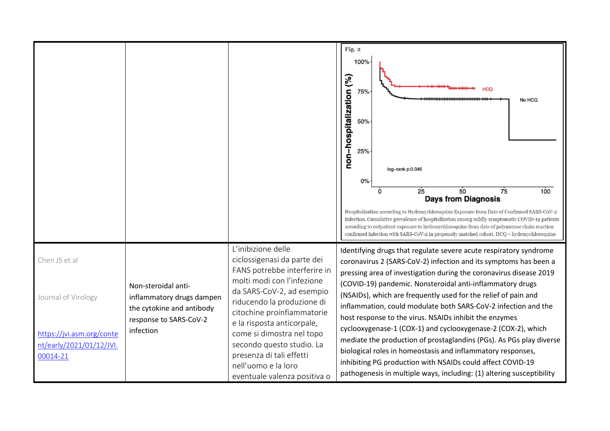|                                                                                                           |                                                                                                                      |                                                                                                                                                                                                                                                                                                                                                                                     | Fig. 2<br>100%<br>non-hospitalization (%)<br>HCQ<br>75%<br>No HCQ<br>50%<br>25%<br>log-rank p:0.045<br>0%<br>25<br>50<br>75<br>100<br>$\Omega$<br><b>Days from Diagnosis</b><br>Hospitalization according to Hydroxychloroquine Exposure from Date of Confirmed SARS-CoV-2<br>Infection. Cumulative prevalence of hospitalization among mildly symptomatic COVID-19 patients<br>according to outpatient exposure to hydroxychloroquine from date of polymerase chain reaction<br>confirmed infection with SARS-CoV-2 in propensity matched cohort. $H CQ =$ hydroxychloroquine                                                                                                                                                                                                                                      |
|-----------------------------------------------------------------------------------------------------------|----------------------------------------------------------------------------------------------------------------------|-------------------------------------------------------------------------------------------------------------------------------------------------------------------------------------------------------------------------------------------------------------------------------------------------------------------------------------------------------------------------------------|---------------------------------------------------------------------------------------------------------------------------------------------------------------------------------------------------------------------------------------------------------------------------------------------------------------------------------------------------------------------------------------------------------------------------------------------------------------------------------------------------------------------------------------------------------------------------------------------------------------------------------------------------------------------------------------------------------------------------------------------------------------------------------------------------------------------|
| Chen JS et al<br>Journal of Virology<br>https://jvi.asm.org/conte<br>nt/early/2021/01/12/JVI.<br>00014-21 | Non-steroidal anti-<br>inflammatory drugs dampen<br>the cytokine and antibody<br>response to SARS-CoV-2<br>infection | L'inibizione delle<br>ciclossigenasi da parte dei<br>FANS potrebbe interferire in<br>molti modi con l'infezione<br>da SARS-CoV-2, ad esempio<br>riducendo la produzione di<br>citochine proinfiammatorie<br>e la risposta anticorpale,<br>come si dimostra nel topo<br>secondo questo studio. La<br>presenza di tali effetti<br>nell'uomo e la loro<br>eventuale valenza positiva o | Identifying drugs that regulate severe acute respiratory syndrome<br>coronavirus 2 (SARS-CoV-2) infection and its symptoms has been a<br>pressing area of investigation during the coronavirus disease 2019<br>(COVID-19) pandemic. Nonsteroidal anti-inflammatory drugs<br>(NSAIDs), which are frequently used for the relief of pain and<br>inflammation, could modulate both SARS-CoV-2 infection and the<br>host response to the virus. NSAIDs inhibit the enzymes<br>cyclooxygenase-1 (COX-1) and cyclooxygenase-2 (COX-2), which<br>mediate the production of prostaglandins (PGs). As PGs play diverse<br>biological roles in homeostasis and inflammatory responses,<br>inhibiting PG production with NSAIDs could affect COVID-19<br>pathogenesis in multiple ways, including: (1) altering susceptibility |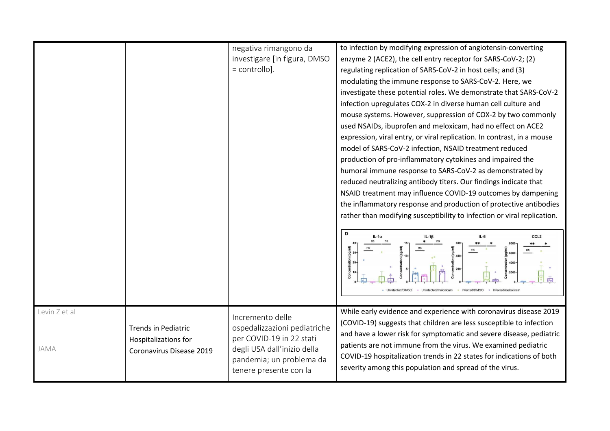|                       |                                                                                | negativa rimangono da<br>investigare [in figura, DMSO<br>$=$ controllo].                                                                                          | to infection by modifying expression of angiotensin-converting<br>enzyme 2 (ACE2), the cell entry receptor for SARS-CoV-2; (2)<br>regulating replication of SARS-CoV-2 in host cells; and (3)<br>modulating the immune response to SARS-CoV-2. Here, we<br>investigate these potential roles. We demonstrate that SARS-CoV-2<br>infection upregulates COX-2 in diverse human cell culture and<br>mouse systems. However, suppression of COX-2 by two commonly<br>used NSAIDs, ibuprofen and meloxicam, had no effect on ACE2<br>expression, viral entry, or viral replication. In contrast, in a mouse<br>model of SARS-CoV-2 infection, NSAID treatment reduced<br>production of pro-inflammatory cytokines and impaired the<br>humoral immune response to SARS-CoV-2 as demonstrated by<br>reduced neutralizing antibody titers. Our findings indicate that<br>NSAID treatment may influence COVID-19 outcomes by dampening<br>the inflammatory response and production of protective antibodies<br>rather than modifying susceptibility to infection or viral replication.<br>D<br>CCL <sub>2</sub><br>Infected/DMSO |
|-----------------------|--------------------------------------------------------------------------------|-------------------------------------------------------------------------------------------------------------------------------------------------------------------|-------------------------------------------------------------------------------------------------------------------------------------------------------------------------------------------------------------------------------------------------------------------------------------------------------------------------------------------------------------------------------------------------------------------------------------------------------------------------------------------------------------------------------------------------------------------------------------------------------------------------------------------------------------------------------------------------------------------------------------------------------------------------------------------------------------------------------------------------------------------------------------------------------------------------------------------------------------------------------------------------------------------------------------------------------------------------------------------------------------------------|
|                       |                                                                                |                                                                                                                                                                   |                                                                                                                                                                                                                                                                                                                                                                                                                                                                                                                                                                                                                                                                                                                                                                                                                                                                                                                                                                                                                                                                                                                         |
| Levin Z et al<br>JAMA | <b>Trends in Pediatric</b><br>Hospitalizations for<br>Coronavirus Disease 2019 | Incremento delle<br>ospedalizzazioni pediatriche<br>per COVID-19 in 22 stati<br>degli USA dall'inizio della<br>pandemia; un problema da<br>tenere presente con la | While early evidence and experience with coronavirus disease 2019<br>(COVID-19) suggests that children are less susceptible to infection<br>and have a lower risk for symptomatic and severe disease, pediatric<br>patients are not immune from the virus. We examined pediatric<br>COVID-19 hospitalization trends in 22 states for indications of both<br>severity among this population and spread of the virus.                                                                                                                                                                                                                                                                                                                                                                                                                                                                                                                                                                                                                                                                                                     |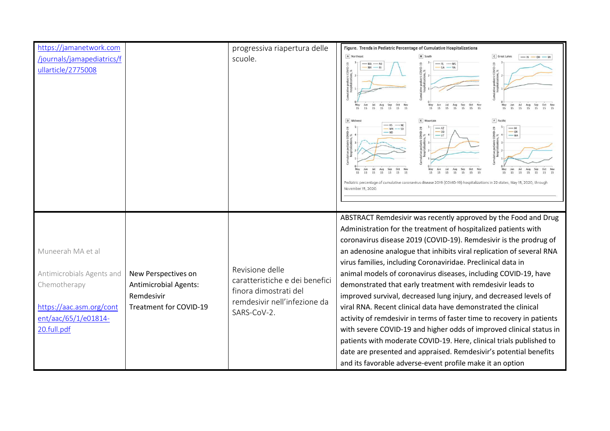| https://jamanetwork.com                                                                                                           |                                                                                             | progressiva riapertura delle                                                                                              | Figure. Trends in Pediatric Percentage of Cumulative Hospitalizations                                                                                                                                                                                                                                                                                                                                                                                                                                                                                                                                                                                                                                                                                                                                                                                                                                                                                                           |
|-----------------------------------------------------------------------------------------------------------------------------------|---------------------------------------------------------------------------------------------|---------------------------------------------------------------------------------------------------------------------------|---------------------------------------------------------------------------------------------------------------------------------------------------------------------------------------------------------------------------------------------------------------------------------------------------------------------------------------------------------------------------------------------------------------------------------------------------------------------------------------------------------------------------------------------------------------------------------------------------------------------------------------------------------------------------------------------------------------------------------------------------------------------------------------------------------------------------------------------------------------------------------------------------------------------------------------------------------------------------------|
| /journals/jamapediatrics/f<br>ullarticle/2775008                                                                                  |                                                                                             | scuole.                                                                                                                   | A Northeast<br>$\boxed{\mathsf{c}}$ Great Lakes<br><b>8</b> South<br>$-$ OH<br>ative pediatric COVID-19<br>hospitalizations, %<br>$-MA$ $N$<br>$-FL$ $-MS$<br>$-GA$ - VA<br>$rac{Oct}{15}$<br>$rac{Oct}{15}$<br>$rac{5ep}{15}$<br>Nov<br>$\frac{Sep}{15}$<br>$\frac{Now}{15}$<br>Aug<br>15<br>May<br>Aug<br>May<br>15<br>$rac{15}{15}$<br>$\frac{1}{15}$<br>15<br>15<br>15<br>15<br>15<br>15<br>15<br>15<br>15                                                                                                                                                                                                                                                                                                                                                                                                                                                                                                                                                                  |
|                                                                                                                                   |                                                                                             |                                                                                                                           | D Midwes<br>$F$ Pacific<br>E Mountair<br>$-KS$ N<br>- MN<br>Sep<br>Oct<br>Oct<br>$Aug$<br>$15$<br>15<br>15<br>15<br>15<br>15<br>15<br>15<br>15<br>15<br>15<br>15<br>15<br>Pediatric percentage of cumulative coronavirus disease 2019 (COVID-19) hospitalizations in 22 states, May 15, 2020, through<br>November 15, 2020                                                                                                                                                                                                                                                                                                                                                                                                                                                                                                                                                                                                                                                      |
| Muneerah MA et al<br>Antimicrobials Agents and<br>Chemotherapy<br>https://aac.asm.org/cont<br>ent/aac/65/1/e01814-<br>20.full.pdf | New Perspectives on<br><b>Antimicrobial Agents:</b><br>Remdesivir<br>Treatment for COVID-19 | Revisione delle<br>caratteristiche e dei benefici<br>finora dimostrati del<br>remdesivir nell'infezione da<br>SARS-CoV-2. | ABSTRACT Remdesivir was recently approved by the Food and Drug<br>Administration for the treatment of hospitalized patients with<br>coronavirus disease 2019 (COVID-19). Remdesivir is the prodrug of<br>an adenosine analogue that inhibits viral replication of several RNA<br>virus families, including Coronaviridae. Preclinical data in<br>animal models of coronavirus diseases, including COVID-19, have<br>demonstrated that early treatment with remdesivir leads to<br>improved survival, decreased lung injury, and decreased levels of<br>viral RNA. Recent clinical data have demonstrated the clinical<br>activity of remdesivir in terms of faster time to recovery in patients<br>with severe COVID-19 and higher odds of improved clinical status in<br>patients with moderate COVID-19. Here, clinical trials published to<br>date are presented and appraised. Remdesivir's potential benefits<br>and its favorable adverse-event profile make it an option |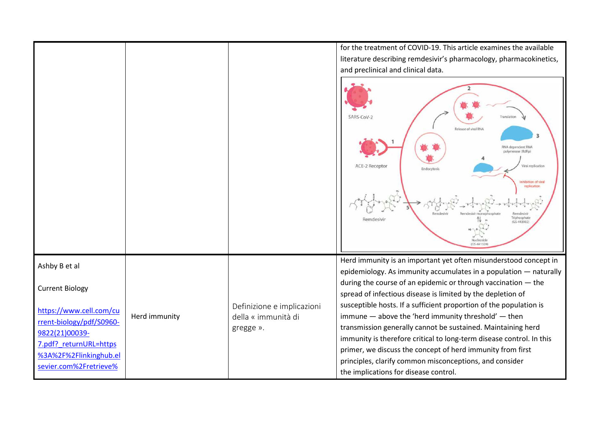|                                                                                                                                                     |               |                                                                | for the treatment of COVID-19. This article examines the available<br>literature describing remdesivir's pharmacology, pharmacokinetics,<br>and preclinical and clinical data.<br>SARS-CoV-2<br>Translation<br>Release of viral RNA<br>з<br>RNA dependent RNA<br>polymerase (RdRp)<br>ACE-2 Receptor<br>Viral replication<br>Endocytosis<br>nhibition of viral<br>replication<br>Triphosphate<br>Remdesivir<br>$(65-443902)$<br>ICG, AAIE |
|-----------------------------------------------------------------------------------------------------------------------------------------------------|---------------|----------------------------------------------------------------|-------------------------------------------------------------------------------------------------------------------------------------------------------------------------------------------------------------------------------------------------------------------------------------------------------------------------------------------------------------------------------------------------------------------------------------------|
| Ashby B et al<br><b>Current Biology</b>                                                                                                             |               |                                                                | Herd immunity is an important yet often misunderstood concept in<br>epidemiology. As immunity accumulates in a population - naturally<br>during the course of an epidemic or through vaccination - the<br>spread of infectious disease is limited by the depletion of                                                                                                                                                                     |
| https://www.cell.com/cu<br>rrent-biology/pdf/S0960-<br>9822(21)00039-<br>7.pdf? returnURL=https<br>%3A%2F%2Flinkinghub.el<br>sevier.com%2Fretrieve% | Herd immunity | Definizione e implicazioni<br>della « immunità di<br>gregge ». | susceptible hosts. If a sufficient proportion of the population is<br>immune - above the 'herd immunity threshold' - then<br>transmission generally cannot be sustained. Maintaining herd<br>immunity is therefore critical to long-term disease control. In this<br>primer, we discuss the concept of herd immunity from first<br>principles, clarify common misconceptions, and consider<br>the implications for disease control.       |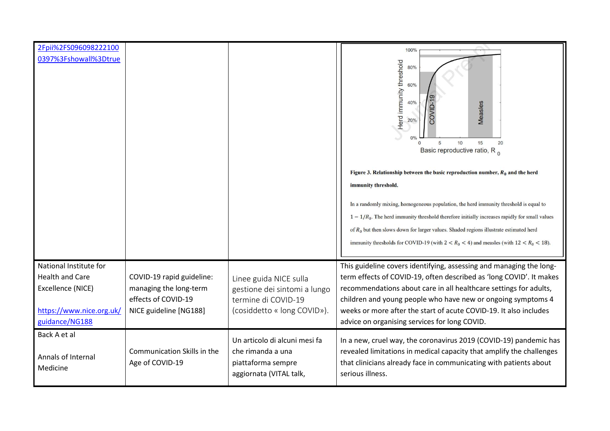| 2Fpii%2FS096098222100          |                                                |                                                                                                     | 100%                                                                                                                                                                                                                                                                                                                                                                                                                                                                                                                                                                                                                                                   |
|--------------------------------|------------------------------------------------|-----------------------------------------------------------------------------------------------------|--------------------------------------------------------------------------------------------------------------------------------------------------------------------------------------------------------------------------------------------------------------------------------------------------------------------------------------------------------------------------------------------------------------------------------------------------------------------------------------------------------------------------------------------------------------------------------------------------------------------------------------------------------|
| 0397%3Fshowall%3Dtrue          |                                                |                                                                                                     | Herd immunity threshold<br>80%<br>60%<br>40%<br>Measles<br>20%<br>0%<br>5<br>10<br>15<br>20<br>$\Omega$<br>Basic reproductive ratio, R <sub>0</sub><br>Figure 3. Relationship between the basic reproduction number, $R_0$ and the herd<br>immunity threshold.<br>In a randomly mixing, homogeneous population, the herd immunity threshold is equal to<br>$1 - 1/R_0$ . The herd immunity threshold therefore initially increases rapidly for small values<br>of $R_0$ but then slows down for larger values. Shaded regions illustrate estimated herd<br>immunity thresholds for COVID-19 (with $2 < R_0 < 4$ ) and measles (with $12 < R_0 < 18$ ). |
| National Institute for         |                                                |                                                                                                     | This guideline covers identifying, assessing and managing the long-                                                                                                                                                                                                                                                                                                                                                                                                                                                                                                                                                                                    |
| <b>Health and Care</b>         | COVID-19 rapid guideline:                      | Linee guida NICE sulla                                                                              | term effects of COVID-19, often described as 'long COVID'. It makes                                                                                                                                                                                                                                                                                                                                                                                                                                                                                                                                                                                    |
| Excellence (NICE)              | managing the long-term                         | gestione dei sintomi a lungo                                                                        | recommendations about care in all healthcare settings for adults,                                                                                                                                                                                                                                                                                                                                                                                                                                                                                                                                                                                      |
| https://www.nice.org.uk/       | effects of COVID-19                            | termine di COVID-19<br>(cosiddetto « long COVID»).                                                  | children and young people who have new or ongoing symptoms 4<br>weeks or more after the start of acute COVID-19. It also includes                                                                                                                                                                                                                                                                                                                                                                                                                                                                                                                      |
| guidance/NG188                 | NICE guideline [NG188]                         |                                                                                                     | advice on organising services for long COVID.                                                                                                                                                                                                                                                                                                                                                                                                                                                                                                                                                                                                          |
| Back A et al                   |                                                |                                                                                                     |                                                                                                                                                                                                                                                                                                                                                                                                                                                                                                                                                                                                                                                        |
| Annals of Internal<br>Medicine | Communication Skills in the<br>Age of COVID-19 | Un articolo di alcuni mesi fa<br>che rimanda a una<br>piattaforma sempre<br>aggiornata (VITAL talk, | In a new, cruel way, the coronavirus 2019 (COVID-19) pandemic has<br>revealed limitations in medical capacity that amplify the challenges<br>that clinicians already face in communicating with patients about<br>serious illness.                                                                                                                                                                                                                                                                                                                                                                                                                     |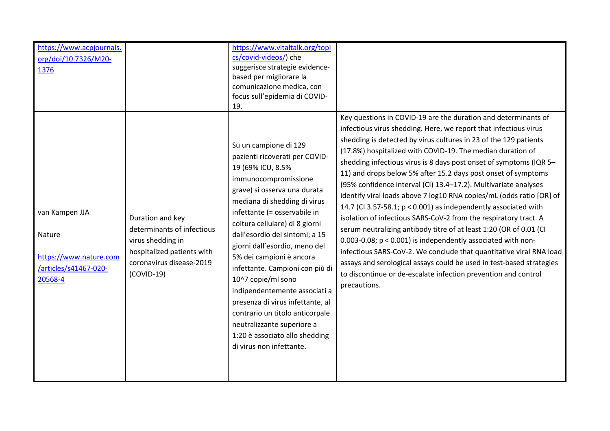| org/doi/10.7326/M20-<br>1376                                                           |                                                                                                                                               | cs/covid-videos/) che<br>suggerisce strategie evidence-<br>based per migliorare la<br>comunicazione medica, con<br>focus sull'epidemia di COVID-<br>19.                                                                                                                                                                                                                                                                                                                                                                                                                                            | Key questions in COVID-19 are the duration and determinants of                                                                                                                                                                                                                                                                                                                                                                                                                                                                                                                                                                                                                                                                                                                                                                                                                                                                                                                                        |
|----------------------------------------------------------------------------------------|-----------------------------------------------------------------------------------------------------------------------------------------------|----------------------------------------------------------------------------------------------------------------------------------------------------------------------------------------------------------------------------------------------------------------------------------------------------------------------------------------------------------------------------------------------------------------------------------------------------------------------------------------------------------------------------------------------------------------------------------------------------|-------------------------------------------------------------------------------------------------------------------------------------------------------------------------------------------------------------------------------------------------------------------------------------------------------------------------------------------------------------------------------------------------------------------------------------------------------------------------------------------------------------------------------------------------------------------------------------------------------------------------------------------------------------------------------------------------------------------------------------------------------------------------------------------------------------------------------------------------------------------------------------------------------------------------------------------------------------------------------------------------------|
| van Kampen JJA<br>Nature<br>https://www.nature.com<br>/articles/s41467-020-<br>20568-4 | Duration and key<br>determinants of infectious<br>virus shedding in<br>hospitalized patients with<br>coronavirus disease-2019<br>$(COVID-19)$ | Su un campione di 129<br>pazienti ricoverati per COVID-<br>19 (69% ICU, 8.5%<br>immunocompromissione<br>grave) si osserva una durata<br>mediana di shedding di virus<br>infettante (= osservabile in<br>coltura cellulare) di 8 giorni<br>dall'esordio dei sintomi; a 15<br>giorni dall'esordio, meno del<br>5% dei campioni è ancora<br>infettante. Campioni con più di<br>10^7 copie/ml sono<br>indipendentemente associati a<br>presenza di virus infettante, al<br>contrario un titolo anticorpale<br>neutralizzante superiore a<br>1:20 è associato allo shedding<br>di virus non infettante. | infectious virus shedding. Here, we report that infectious virus<br>shedding is detected by virus cultures in 23 of the 129 patients<br>(17.8%) hospitalized with COVID-19. The median duration of<br>shedding infectious virus is 8 days post onset of symptoms (IQR 5-<br>11) and drops below 5% after 15.2 days post onset of symptoms<br>(95% confidence interval (CI) 13.4-17.2). Multivariate analyses<br>identify viral loads above 7 log10 RNA copies/mL (odds ratio [OR] of<br>14.7 (CI 3.57-58.1; $p < 0.001$ ) as independently associated with<br>isolation of infectious SARS-CoV-2 from the respiratory tract. A<br>serum neutralizing antibody titre of at least 1:20 (OR of 0.01 (CI<br>0.003-0.08; p < 0.001) is independently associated with non-<br>infectious SARS-CoV-2. We conclude that quantitative viral RNA load<br>assays and serological assays could be used in test-based strategies<br>to discontinue or de-escalate infection prevention and control<br>precautions. |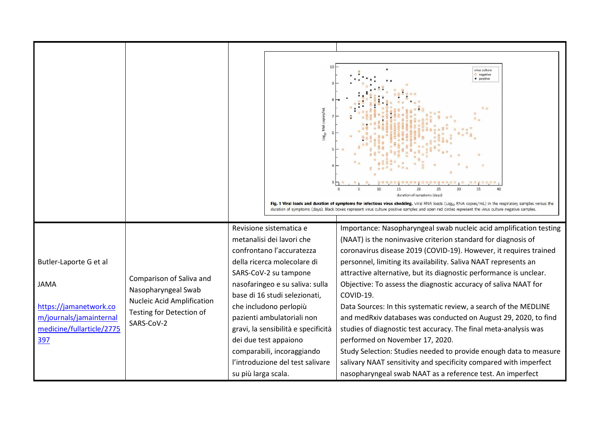|                                                                                                                                |                                                                                                                                | og <sub>10</sub> RNA copies/ml                                                                                                                                                                                                                                                                                                                                                                                                 | virus culture<br>negative<br>· positive<br>10<br>duration of symptoms (days)<br>Fig. 1 Viral loads and duration of symptoms for infectious virus shedding. Viral RNA loads (Log <sub>io</sub> RNA copies/mL) in the respiratory samples versus the<br>duration of symptoms (days). Black boxes represent virus culture positive samples and open red circles represent the virus culture negative samples.                                                                                                                                                                                                                                                                                                                                                                                                                                                                              |
|--------------------------------------------------------------------------------------------------------------------------------|--------------------------------------------------------------------------------------------------------------------------------|--------------------------------------------------------------------------------------------------------------------------------------------------------------------------------------------------------------------------------------------------------------------------------------------------------------------------------------------------------------------------------------------------------------------------------|-----------------------------------------------------------------------------------------------------------------------------------------------------------------------------------------------------------------------------------------------------------------------------------------------------------------------------------------------------------------------------------------------------------------------------------------------------------------------------------------------------------------------------------------------------------------------------------------------------------------------------------------------------------------------------------------------------------------------------------------------------------------------------------------------------------------------------------------------------------------------------------------|
| Butler-Laporte G et al<br><b>JAMA</b><br>https://jamanetwork.co<br>m/journals/jamainternal<br>medicine/fullarticle/2775<br>397 | Comparison of Saliva and<br>Nasopharyngeal Swab<br><b>Nucleic Acid Amplification</b><br>Testing for Detection of<br>SARS-CoV-2 | Revisione sistematica e<br>metanalisi dei lavori che<br>confrontano l'accuratezza<br>della ricerca molecolare di<br>SARS-CoV-2 su tampone<br>nasofaringeo e su saliva: sulla<br>base di 16 studi selezionati,<br>che includono perlopiù<br>pazienti ambulatoriali non<br>gravi, la sensibilità e specificità<br>dei due test appaiono<br>comparabili, incoraggiando<br>l'introduzione del test salivare<br>su più larga scala. | Importance: Nasopharyngeal swab nucleic acid amplification testing<br>(NAAT) is the noninvasive criterion standard for diagnosis of<br>coronavirus disease 2019 (COVID-19). However, it requires trained<br>personnel, limiting its availability. Saliva NAAT represents an<br>attractive alternative, but its diagnostic performance is unclear.<br>Objective: To assess the diagnostic accuracy of saliva NAAT for<br>COVID-19.<br>Data Sources: In this systematic review, a search of the MEDLINE<br>and medRxiv databases was conducted on August 29, 2020, to find<br>studies of diagnostic test accuracy. The final meta-analysis was<br>performed on November 17, 2020.<br>Study Selection: Studies needed to provide enough data to measure<br>salivary NAAT sensitivity and specificity compared with imperfect<br>nasopharyngeal swab NAAT as a reference test. An imperfect |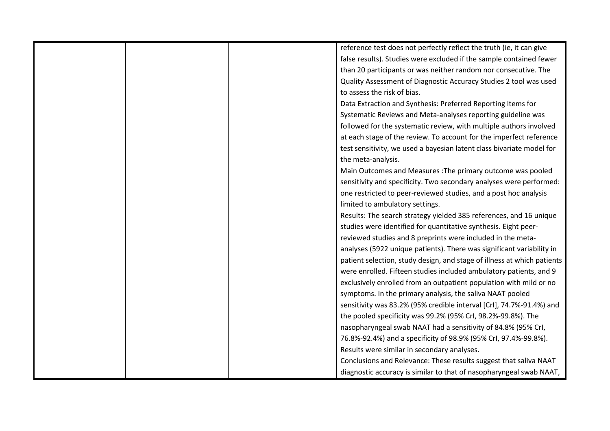| reference test does not perfectly reflect the truth (ie, it can give    |
|-------------------------------------------------------------------------|
| false results). Studies were excluded if the sample contained fewer     |
| than 20 participants or was neither random nor consecutive. The         |
| Quality Assessment of Diagnostic Accuracy Studies 2 tool was used       |
| to assess the risk of bias.                                             |
| Data Extraction and Synthesis: Preferred Reporting Items for            |
| Systematic Reviews and Meta-analyses reporting guideline was            |
| followed for the systematic review, with multiple authors involved      |
| at each stage of the review. To account for the imperfect reference     |
| test sensitivity, we used a bayesian latent class bivariate model for   |
| the meta-analysis.                                                      |
| Main Outcomes and Measures : The primary outcome was pooled             |
| sensitivity and specificity. Two secondary analyses were performed:     |
| one restricted to peer-reviewed studies, and a post hoc analysis        |
| limited to ambulatory settings.                                         |
| Results: The search strategy yielded 385 references, and 16 unique      |
| studies were identified for quantitative synthesis. Eight peer-         |
| reviewed studies and 8 preprints were included in the meta-             |
| analyses (5922 unique patients). There was significant variability in   |
| patient selection, study design, and stage of illness at which patients |
| were enrolled. Fifteen studies included ambulatory patients, and 9      |
| exclusively enrolled from an outpatient population with mild or no      |
| symptoms. In the primary analysis, the saliva NAAT pooled               |
| sensitivity was 83.2% (95% credible interval [Crl], 74.7%-91.4%) and    |
| the pooled specificity was 99.2% (95% Crl, 98.2%-99.8%). The            |
| nasopharyngeal swab NAAT had a sensitivity of 84.8% (95% CrI,           |
| 76.8%-92.4%) and a specificity of 98.9% (95% CrI, 97.4%-99.8%).         |
| Results were similar in secondary analyses.                             |
| Conclusions and Relevance: These results suggest that saliva NAAT       |
| diagnostic accuracy is similar to that of nasopharyngeal swab NAAT,     |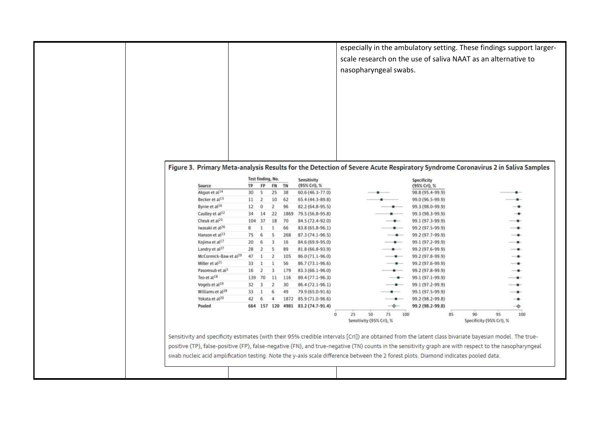|                                                        |                 |                          |                   |             |                                           | nasopharyngeal swabs. |  |                                      | especially in the ambulatory setting. These findings support larger-<br>scale research on the use of saliva NAAT as an alternative to |
|--------------------------------------------------------|-----------------|--------------------------|-------------------|-------------|-------------------------------------------|-----------------------|--|--------------------------------------|---------------------------------------------------------------------------------------------------------------------------------------|
|                                                        |                 |                          | Test finding, No. |             | Sensitivity<br>(95% Crl), %               |                       |  | Specificity                          | Figure 3. Primary Meta-analysis Results for the Detection of Severe Acute Respiratory Syndrome Coronavirus 2 in Saliva Samples        |
| Source<br>Akgun et al <sup>14</sup>                    | TP.<br>30       | FP<br>5                  | 25                | FN TN<br>38 | 60.6 (46.3-77.0)                          |                       |  | (95% CrI), %<br>98.8 (95.4-99.9)     |                                                                                                                                       |
| Becker et al <sup>15</sup>                             | 11              | $\overline{2}$           | 10                | 62          | 65.4 (44.3-89.8)                          |                       |  | 99.0 (96.5-99.9)                     |                                                                                                                                       |
| Byrne et al <sup>16</sup>                              | 12 <sup>°</sup> | $\circ$                  | $\overline{2}$    | 96          | 82.2 (64.8-95.5)                          |                       |  | 99.3 (98.0-99.9)                     |                                                                                                                                       |
| Caulley et al <sup>22</sup>                            |                 | 34 14                    | 22                | 1869        | 79.5 (56.8-95.8)                          |                       |  | 99.3 (98.3-99.9)                     |                                                                                                                                       |
| Cheuk et al <sup>25</sup>                              | 104             | 37                       | 18                | 70          | 84.5 (72.4-92.0)                          |                       |  | 99.1 (97.3-99.9)                     | -0-                                                                                                                                   |
| Iwasaki et al <sup>26</sup>                            | 8               |                          | 1                 | 66          | 83.8 (65.8-96.1)                          |                       |  | 99.2 (97.5-99.9)                     |                                                                                                                                       |
| Hanson et al <sup>23</sup>                             | 75              | 6                        | 5                 | 268         | 87.3 (74.1-96.5)                          |                       |  | 99.2 (97.7-99.9)                     | --                                                                                                                                    |
| Kojima et al <sup>17</sup>                             | 20              | 6                        | 3                 | 16          | 84.6 (69.9-95.0)                          |                       |  | 99.1 (97.2-99.9)                     |                                                                                                                                       |
|                                                        | 28              | $\mathbf{2}$             | $\mathsf{S}$      | 89          | 81.8 (66.8-93.9)                          |                       |  | 99.2 (97.6-99.9)                     | -                                                                                                                                     |
|                                                        | 47              |                          | $\overline{z}$    | 105         | 86.0 (71.1-96.0)                          |                       |  | 99.2 (97.8-99.9)                     |                                                                                                                                       |
| Landry et al <sup>27</sup>                             |                 |                          | $\mathbf{1}$      | 56          | 86.7 (73.1-96.6)                          |                       |  | 99.2 (97.6-99.9)                     |                                                                                                                                       |
| McCormick-Baw et al <sup>29</sup>                      |                 |                          |                   | 179         | 83.3 (66.1-96.0)                          |                       |  | 99.2 (97.8-99.9)                     |                                                                                                                                       |
| Miller et al <sup>21</sup>                             | 33              |                          |                   |             |                                           |                       |  |                                      |                                                                                                                                       |
| Pasomsub et al <sup>3</sup><br>Teo et al <sup>18</sup> | 16              | $\overline{2}$<br>139 70 | 3<br>11           | 116         |                                           |                       |  |                                      |                                                                                                                                       |
| Vogels et al <sup>19</sup>                             | 32              | $\overline{\mathbf{3}}$  | $\mathbf{2}$      | 30          | 89.4 (77.1-96.3)                          |                       |  | 99.1 (97.1-99.9)                     |                                                                                                                                       |
| Williams et al <sup>28</sup>                           | 33              |                          | 6                 | 49          | 86.4 (72.1-96.1)                          |                       |  | 99.1 (97.2-99.9)                     |                                                                                                                                       |
| Yokata et al <sup>20</sup>                             | 42              | 6                        | 4                 |             | 79.9 (65.0-91.6)<br>1872 85.9 (71.0-96.6) |                       |  | 99.1 (97.5-99.9)<br>99.2 (98.2-99.8) | -8                                                                                                                                    |
| Pooled                                                 |                 |                          |                   |             | 664 157 120 4981 83.2 (74.7-91.4)         |                       |  | 99.2 (98.2-99.8)                     | ۰                                                                                                                                     |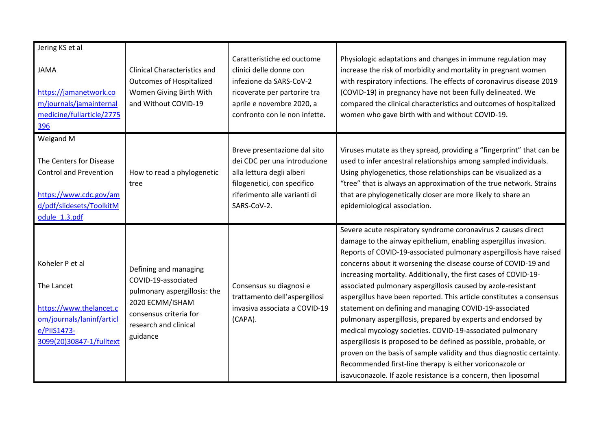| Jering KS et al                                                                                                                              |                                                                                                                                                                |                                                                                                                                                                                |                                                                                                                                                                                                                                                                                                                                                                                                                                                                                                                                                                                                                                                                                                                                                                                                                                                                                                                                                          |
|----------------------------------------------------------------------------------------------------------------------------------------------|----------------------------------------------------------------------------------------------------------------------------------------------------------------|--------------------------------------------------------------------------------------------------------------------------------------------------------------------------------|----------------------------------------------------------------------------------------------------------------------------------------------------------------------------------------------------------------------------------------------------------------------------------------------------------------------------------------------------------------------------------------------------------------------------------------------------------------------------------------------------------------------------------------------------------------------------------------------------------------------------------------------------------------------------------------------------------------------------------------------------------------------------------------------------------------------------------------------------------------------------------------------------------------------------------------------------------|
| <b>JAMA</b><br>https://jamanetwork.co<br>m/journals/jamainternal<br>medicine/fullarticle/2775<br>396                                         | <b>Clinical Characteristics and</b><br><b>Outcomes of Hospitalized</b><br>Women Giving Birth With<br>and Without COVID-19                                      | Caratteristiche ed ouctome<br>clinici delle donne con<br>infezione da SARS-CoV-2<br>ricoverate per partorire tra<br>aprile e novembre 2020, a<br>confronto con le non infette. | Physiologic adaptations and changes in immune regulation may<br>increase the risk of morbidity and mortality in pregnant women<br>with respiratory infections. The effects of coronavirus disease 2019<br>(COVID-19) in pregnancy have not been fully delineated. We<br>compared the clinical characteristics and outcomes of hospitalized<br>women who gave birth with and without COVID-19.                                                                                                                                                                                                                                                                                                                                                                                                                                                                                                                                                            |
| Weigand M<br>The Centers for Disease<br><b>Control and Prevention</b><br>https://www.cdc.gov/am<br>d/pdf/slidesets/ToolkitM<br>odule 1.3.pdf | How to read a phylogenetic<br>tree                                                                                                                             | Breve presentazione dal sito<br>dei CDC per una introduzione<br>alla lettura degli alberi<br>filogenetici, con specifico<br>riferimento alle varianti di<br>SARS-CoV-2.        | Viruses mutate as they spread, providing a "fingerprint" that can be<br>used to infer ancestral relationships among sampled individuals.<br>Using phylogenetics, those relationships can be visualized as a<br>"tree" that is always an approximation of the true network. Strains<br>that are phylogenetically closer are more likely to share an<br>epidemiological association.                                                                                                                                                                                                                                                                                                                                                                                                                                                                                                                                                                       |
| Koheler P et al<br>The Lancet<br>https://www.thelancet.c<br>om/journals/laninf/articl<br>e/PIIS1473-<br>3099(20)30847-1/fulltext             | Defining and managing<br>COVID-19-associated<br>pulmonary aspergillosis: the<br>2020 ECMM/ISHAM<br>consensus criteria for<br>research and clinical<br>guidance | Consensus su diagnosi e<br>trattamento dell'aspergillosi<br>invasiva associata a COVID-19<br>(CAPA).                                                                           | Severe acute respiratory syndrome coronavirus 2 causes direct<br>damage to the airway epithelium, enabling aspergillus invasion.<br>Reports of COVID-19-associated pulmonary aspergillosis have raised<br>concerns about it worsening the disease course of COVID-19 and<br>increasing mortality. Additionally, the first cases of COVID-19-<br>associated pulmonary aspergillosis caused by azole-resistant<br>aspergillus have been reported. This article constitutes a consensus<br>statement on defining and managing COVID-19-associated<br>pulmonary aspergillosis, prepared by experts and endorsed by<br>medical mycology societies. COVID-19-associated pulmonary<br>aspergillosis is proposed to be defined as possible, probable, or<br>proven on the basis of sample validity and thus diagnostic certainty.<br>Recommended first-line therapy is either voriconazole or<br>isavuconazole. If azole resistance is a concern, then liposomal |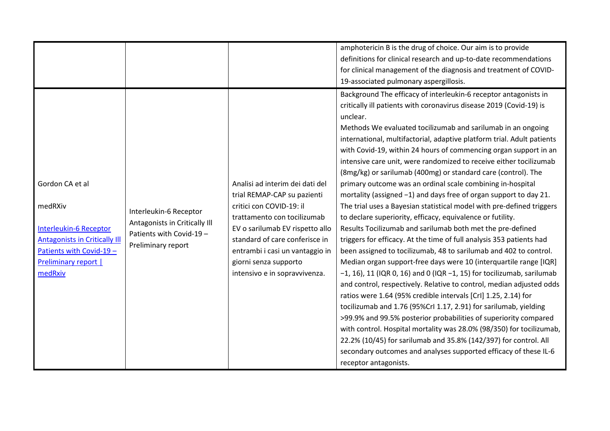|                                                                                                                                                             |                                                                                                           |                                                                                                                                                                                                                                                                                             | amphotericin B is the drug of choice. Our aim is to provide<br>definitions for clinical research and up-to-date recommendations<br>for clinical management of the diagnosis and treatment of COVID-<br>19-associated pulmonary aspergillosis.                                                                                                                                                                                                                                                                                                                                                                                                                                                                                                                                                                                                                                                                                                                                                                                                                                                                                                                                                                                                                                                                                                                                                                                                                                                                                                                                                                                                                                   |
|-------------------------------------------------------------------------------------------------------------------------------------------------------------|-----------------------------------------------------------------------------------------------------------|---------------------------------------------------------------------------------------------------------------------------------------------------------------------------------------------------------------------------------------------------------------------------------------------|---------------------------------------------------------------------------------------------------------------------------------------------------------------------------------------------------------------------------------------------------------------------------------------------------------------------------------------------------------------------------------------------------------------------------------------------------------------------------------------------------------------------------------------------------------------------------------------------------------------------------------------------------------------------------------------------------------------------------------------------------------------------------------------------------------------------------------------------------------------------------------------------------------------------------------------------------------------------------------------------------------------------------------------------------------------------------------------------------------------------------------------------------------------------------------------------------------------------------------------------------------------------------------------------------------------------------------------------------------------------------------------------------------------------------------------------------------------------------------------------------------------------------------------------------------------------------------------------------------------------------------------------------------------------------------|
| Gordon CA et al<br>medRXiv<br>Interleukin-6 Receptor<br><b>Antagonists in Critically III</b><br>Patients with Covid-19 -<br>Preliminary report  <br>medRxiv | Interleukin-6 Receptor<br>Antagonists in Critically III<br>Patients with Covid-19 -<br>Preliminary report | Analisi ad interim dei dati del<br>trial REMAP-CAP su pazienti<br>critici con COVID-19: il<br>trattamento con tocilizumab<br>EV o sarilumab EV rispetto allo<br>standard of care conferisce in<br>entrambi i casi un vantaggio in<br>giorni senza supporto<br>intensivo e in sopravvivenza. | Background The efficacy of interleukin-6 receptor antagonists in<br>critically ill patients with coronavirus disease 2019 (Covid-19) is<br>unclear.<br>Methods We evaluated tocilizumab and sarilumab in an ongoing<br>international, multifactorial, adaptive platform trial. Adult patients<br>with Covid-19, within 24 hours of commencing organ support in an<br>intensive care unit, were randomized to receive either tocilizumab<br>(8mg/kg) or sarilumab (400mg) or standard care (control). The<br>primary outcome was an ordinal scale combining in-hospital<br>mortality (assigned $-1$ ) and days free of organ support to day 21.<br>The trial uses a Bayesian statistical model with pre-defined triggers<br>to declare superiority, efficacy, equivalence or futility.<br>Results Tocilizumab and sarilumab both met the pre-defined<br>triggers for efficacy. At the time of full analysis 353 patients had<br>been assigned to tocilizumab, 48 to sarilumab and 402 to control.<br>Median organ support-free days were 10 (interquartile range [IQR]<br>$-1$ , 16), 11 (IQR 0, 16) and 0 (IQR $-1$ , 15) for tocilizumab, sarilumab<br>and control, respectively. Relative to control, median adjusted odds<br>ratios were 1.64 (95% credible intervals [CrI] 1.25, 2.14) for<br>tocilizumab and 1.76 (95%Crl 1.17, 2.91) for sarilumab, yielding<br>>99.9% and 99.5% posterior probabilities of superiority compared<br>with control. Hospital mortality was 28.0% (98/350) for tocilizumab,<br>22.2% (10/45) for sarilumab and 35.8% (142/397) for control. All<br>secondary outcomes and analyses supported efficacy of these IL-6<br>receptor antagonists. |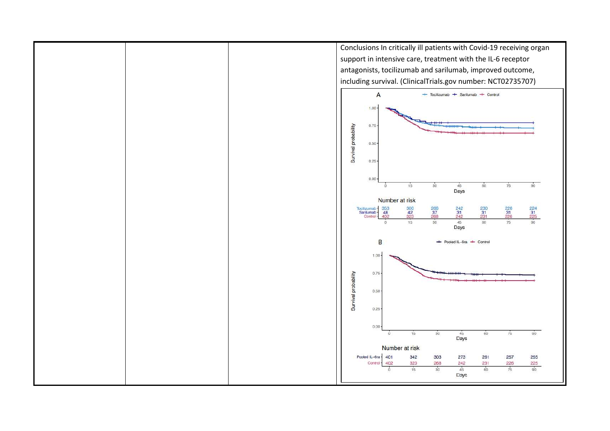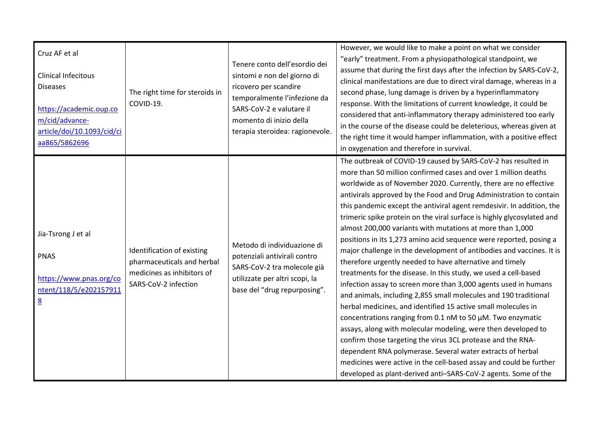| Cruz AF et al<br>Clinical Infecitous<br><b>Diseases</b><br>https://academic.oup.co<br>m/cid/advance-<br>article/doi/10.1093/cid/ci<br>aa865/5862696 | The right time for steroids in<br>COVID-19.                                                                    | Tenere conto dell'esordio dei<br>sintomi e non del giorno di<br>ricovero per scandire<br>temporalmente l'infezione da<br>SARS-CoV-2 e valutare il<br>momento di inizio della<br>terapia steroidea: ragionevole. | However, we would like to make a point on what we consider<br>"early" treatment. From a physiopathological standpoint, we<br>assume that during the first days after the infection by SARS-CoV-2,<br>clinical manifestations are due to direct viral damage, whereas in a<br>second phase, lung damage is driven by a hyperinflammatory<br>response. With the limitations of current knowledge, it could be<br>considered that anti-inflammatory therapy administered too early<br>in the course of the disease could be deleterious, whereas given at<br>the right time it would hamper inflammation, with a positive effect<br>in oxygenation and therefore in survival.                                                                                                                                                                                                                                                                                                                                                                                                                                                                                                                                                                                                                                                                                                         |
|-----------------------------------------------------------------------------------------------------------------------------------------------------|----------------------------------------------------------------------------------------------------------------|-----------------------------------------------------------------------------------------------------------------------------------------------------------------------------------------------------------------|------------------------------------------------------------------------------------------------------------------------------------------------------------------------------------------------------------------------------------------------------------------------------------------------------------------------------------------------------------------------------------------------------------------------------------------------------------------------------------------------------------------------------------------------------------------------------------------------------------------------------------------------------------------------------------------------------------------------------------------------------------------------------------------------------------------------------------------------------------------------------------------------------------------------------------------------------------------------------------------------------------------------------------------------------------------------------------------------------------------------------------------------------------------------------------------------------------------------------------------------------------------------------------------------------------------------------------------------------------------------------------|
| Jia-Tsrong J et al<br><b>PNAS</b><br>https://www.pnas.org/co<br>ntent/118/5/e202157911<br>$\underline{8}$                                           | Identification of existing<br>pharmaceuticals and herbal<br>medicines as inhibitors of<br>SARS-CoV-2 infection | Metodo di individuazione di<br>potenziali antivirali contro<br>SARS-CoV-2 tra molecole già<br>utilizzate per altri scopi, la<br>base del "drug repurposing".                                                    | The outbreak of COVID-19 caused by SARS-CoV-2 has resulted in<br>more than 50 million confirmed cases and over 1 million deaths<br>worldwide as of November 2020. Currently, there are no effective<br>antivirals approved by the Food and Drug Administration to contain<br>this pandemic except the antiviral agent remdesivir. In addition, the<br>trimeric spike protein on the viral surface is highly glycosylated and<br>almost 200,000 variants with mutations at more than 1,000<br>positions in its 1,273 amino acid sequence were reported, posing a<br>major challenge in the development of antibodies and vaccines. It is<br>therefore urgently needed to have alternative and timely<br>treatments for the disease. In this study, we used a cell-based<br>infection assay to screen more than 3,000 agents used in humans<br>and animals, including 2,855 small molecules and 190 traditional<br>herbal medicines, and identified 15 active small molecules in<br>concentrations ranging from 0.1 nM to 50 µM. Two enzymatic<br>assays, along with molecular modeling, were then developed to<br>confirm those targeting the virus 3CL protease and the RNA-<br>dependent RNA polymerase. Several water extracts of herbal<br>medicines were active in the cell-based assay and could be further<br>developed as plant-derived anti-SARS-CoV-2 agents. Some of the |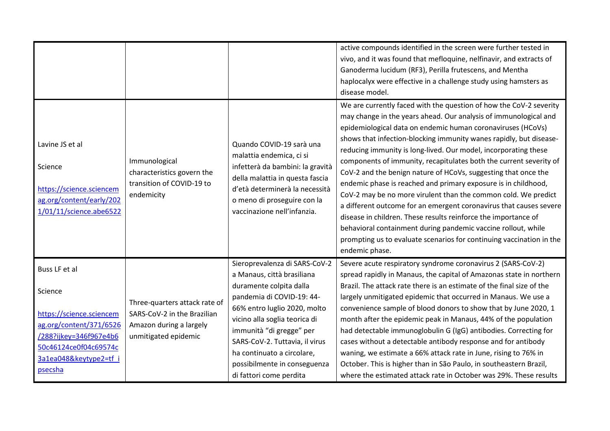|                                                                                                               |                                                                                        |                                                                                                                                                                                                                             | active compounds identified in the screen were further tested in<br>vivo, and it was found that mefloquine, nelfinavir, and extracts of<br>Ganoderma lucidum (RF3), Perilla frutescens, and Mentha<br>haplocalyx were effective in a challenge study using hamsters as<br>disease model.                                                                                                                                                                                                                                                                                                                                                                                                                                                                                                                                                                                                                                      |
|---------------------------------------------------------------------------------------------------------------|----------------------------------------------------------------------------------------|-----------------------------------------------------------------------------------------------------------------------------------------------------------------------------------------------------------------------------|-------------------------------------------------------------------------------------------------------------------------------------------------------------------------------------------------------------------------------------------------------------------------------------------------------------------------------------------------------------------------------------------------------------------------------------------------------------------------------------------------------------------------------------------------------------------------------------------------------------------------------------------------------------------------------------------------------------------------------------------------------------------------------------------------------------------------------------------------------------------------------------------------------------------------------|
| Lavine JS et al<br>Science<br>https://science.sciencem<br>ag.org/content/early/202<br>1/01/11/science.abe6522 | Immunological<br>characteristics govern the<br>transition of COVID-19 to<br>endemicity | Quando COVID-19 sarà una<br>malattia endemica, ci si<br>infetterà da bambini: la gravità<br>della malattia in questa fascia<br>d'età determinerà la necessità<br>o meno di proseguire con la<br>vaccinazione nell'infanzia. | We are currently faced with the question of how the CoV-2 severity<br>may change in the years ahead. Our analysis of immunological and<br>epidemiological data on endemic human coronaviruses (HCoVs)<br>shows that infection-blocking immunity wanes rapidly, but disease-<br>reducing immunity is long-lived. Our model, incorporating these<br>components of immunity, recapitulates both the current severity of<br>CoV-2 and the benign nature of HCoVs, suggesting that once the<br>endemic phase is reached and primary exposure is in childhood,<br>CoV-2 may be no more virulent than the common cold. We predict<br>a different outcome for an emergent coronavirus that causes severe<br>disease in children. These results reinforce the importance of<br>behavioral containment during pandemic vaccine rollout, while<br>prompting us to evaluate scenarios for continuing vaccination in the<br>endemic phase. |
|                                                                                                               |                                                                                        | Sieroprevalenza di SARS-CoV-2                                                                                                                                                                                               | Severe acute respiratory syndrome coronavirus 2 (SARS-CoV-2)                                                                                                                                                                                                                                                                                                                                                                                                                                                                                                                                                                                                                                                                                                                                                                                                                                                                  |
| Buss LF et al                                                                                                 |                                                                                        | a Manaus, città brasiliana                                                                                                                                                                                                  | spread rapidly in Manaus, the capital of Amazonas state in northern                                                                                                                                                                                                                                                                                                                                                                                                                                                                                                                                                                                                                                                                                                                                                                                                                                                           |
| Science                                                                                                       |                                                                                        | duramente colpita dalla                                                                                                                                                                                                     | Brazil. The attack rate there is an estimate of the final size of the                                                                                                                                                                                                                                                                                                                                                                                                                                                                                                                                                                                                                                                                                                                                                                                                                                                         |
|                                                                                                               | Three-quarters attack rate of                                                          | pandemia di COVID-19: 44-                                                                                                                                                                                                   | largely unmitigated epidemic that occurred in Manaus. We use a                                                                                                                                                                                                                                                                                                                                                                                                                                                                                                                                                                                                                                                                                                                                                                                                                                                                |
| https://science.sciencem                                                                                      | SARS-CoV-2 in the Brazilian                                                            | 66% entro luglio 2020, molto                                                                                                                                                                                                | convenience sample of blood donors to show that by June 2020, 1                                                                                                                                                                                                                                                                                                                                                                                                                                                                                                                                                                                                                                                                                                                                                                                                                                                               |
| ag.org/content/371/6526                                                                                       | Amazon during a largely                                                                | vicino alla soglia teorica di<br>immunità "di gregge" per                                                                                                                                                                   | month after the epidemic peak in Manaus, 44% of the population<br>had detectable immunoglobulin G (IgG) antibodies. Correcting for                                                                                                                                                                                                                                                                                                                                                                                                                                                                                                                                                                                                                                                                                                                                                                                            |
| /288?ijkey=346f967e4b6                                                                                        | unmitigated epidemic                                                                   | SARS-CoV-2. Tuttavia, il virus                                                                                                                                                                                              | cases without a detectable antibody response and for antibody                                                                                                                                                                                                                                                                                                                                                                                                                                                                                                                                                                                                                                                                                                                                                                                                                                                                 |
| 50c46124ce0f04c69574c                                                                                         |                                                                                        | ha continuato a circolare,                                                                                                                                                                                                  | waning, we estimate a 66% attack rate in June, rising to 76% in                                                                                                                                                                                                                                                                                                                                                                                                                                                                                                                                                                                                                                                                                                                                                                                                                                                               |
| 3a1ea048&keytype2=tf i                                                                                        |                                                                                        | possibilmente in conseguenza                                                                                                                                                                                                | October. This is higher than in São Paulo, in southeastern Brazil,                                                                                                                                                                                                                                                                                                                                                                                                                                                                                                                                                                                                                                                                                                                                                                                                                                                            |
| <b>psecsha</b>                                                                                                |                                                                                        | di fattori come perdita                                                                                                                                                                                                     | where the estimated attack rate in October was 29%. These results                                                                                                                                                                                                                                                                                                                                                                                                                                                                                                                                                                                                                                                                                                                                                                                                                                                             |